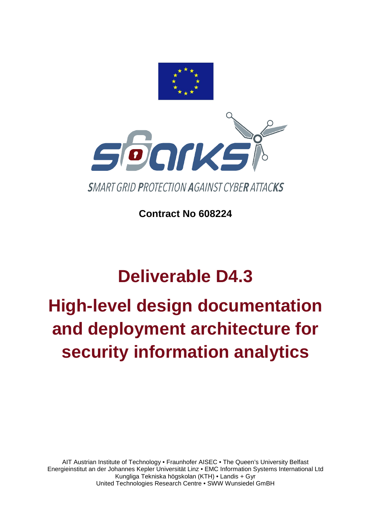

**Contract No 608224**

# **Deliverable D4.3**

# **High-level design documentation and deployment architecture for security information analytics**

AIT Austrian Institute of Technology • Fraunhofer AISEC • The Queen's University Belfast Energieinstitut an der Johannes Kepler Universität Linz • EMC Information Systems International Ltd Kungliga Tekniska högskolan (KTH) • Landis + Gyr United Technologies Research Centre • SWW Wunsiedel GmBH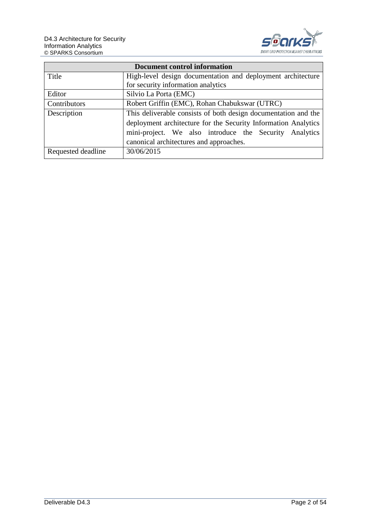

| Document control information |                                                                |  |  |  |  |  |  |
|------------------------------|----------------------------------------------------------------|--|--|--|--|--|--|
| Title                        | High-level design documentation and deployment architecture    |  |  |  |  |  |  |
|                              | for security information analytics                             |  |  |  |  |  |  |
| Editor                       | Silvio La Porta (EMC)                                          |  |  |  |  |  |  |
| Contributors                 | Robert Griffin (EMC), Rohan Chabukswar (UTRC)                  |  |  |  |  |  |  |
| Description                  | This deliverable consists of both design documentation and the |  |  |  |  |  |  |
|                              | deployment architecture for the Security Information Analytics |  |  |  |  |  |  |
|                              | mini-project. We also introduce the Security Analytics         |  |  |  |  |  |  |
|                              | canonical architectures and approaches.                        |  |  |  |  |  |  |
| Requested deadline           | 30/06/2015                                                     |  |  |  |  |  |  |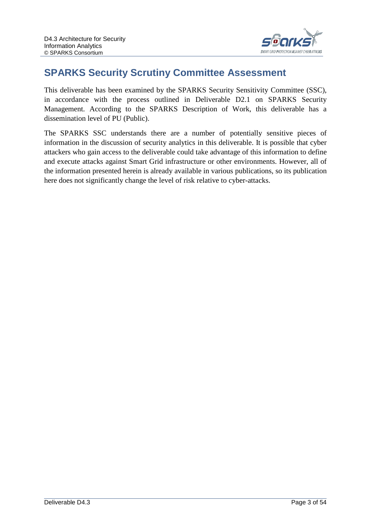

# <span id="page-2-0"></span>**SPARKS Security Scrutiny Committee Assessment**

This deliverable has been examined by the SPARKS Security Sensitivity Committee (SSC), in accordance with the process outlined in Deliverable D2.1 on SPARKS Security Management. According to the SPARKS Description of Work, this deliverable has a dissemination level of PU (Public).

The SPARKS SSC understands there are a number of potentially sensitive pieces of information in the discussion of security analytics in this deliverable. It is possible that cyber attackers who gain access to the deliverable could take advantage of this information to define and execute attacks against Smart Grid infrastructure or other environments. However, all of the information presented herein is already available in various publications, so its publication here does not significantly change the level of risk relative to cyber-attacks.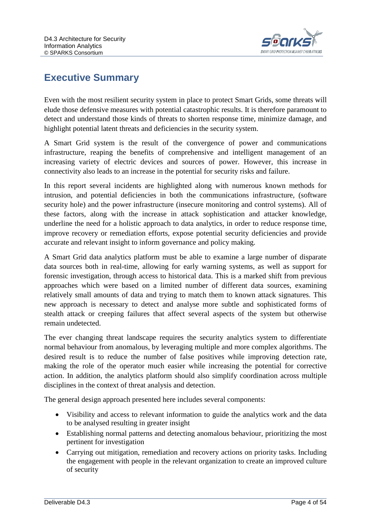

# <span id="page-3-0"></span>**Executive Summary**

Even with the most resilient security system in place to protect Smart Grids, some threats will elude those defensive measures with potential catastrophic results. It is therefore paramount to detect and understand those kinds of threats to shorten response time, minimize damage, and highlight potential latent threats and deficiencies in the security system.

A Smart Grid system is the result of the convergence of power and communications infrastructure, reaping the benefits of comprehensive and intelligent management of an increasing variety of electric devices and sources of power. However, this increase in connectivity also leads to an increase in the potential for security risks and failure.

In this report several incidents are highlighted along with numerous known methods for intrusion, and potential deficiencies in both the communications infrastructure, (software security hole) and the power infrastructure (insecure monitoring and control systems). All of these factors, along with the increase in attack sophistication and attacker knowledge, underline the need for a holistic approach to data analytics, in order to reduce response time, improve recovery or remediation efforts, expose potential security deficiencies and provide accurate and relevant insight to inform governance and policy making.

A Smart Grid data analytics platform must be able to examine a large number of disparate data sources both in real-time, allowing for early warning systems, as well as support for forensic investigation, through access to historical data. This is a marked shift from previous approaches which were based on a limited number of different data sources, examining relatively small amounts of data and trying to match them to known attack signatures. This new approach is necessary to detect and analyse more subtle and sophisticated forms of stealth attack or creeping failures that affect several aspects of the system but otherwise remain undetected.

The ever changing threat landscape requires the security analytics system to differentiate normal behaviour from anomalous, by leveraging multiple and more complex algorithms. The desired result is to reduce the number of false positives while improving detection rate, making the role of the operator much easier while increasing the potential for corrective action. In addition, the analytics platform should also simplify coordination across multiple disciplines in the context of threat analysis and detection.

The general design approach presented here includes several components:

- Visibility and access to relevant information to guide the analytics work and the data to be analysed resulting in greater insight
- Establishing normal patterns and detecting anomalous behaviour, prioritizing the most pertinent for investigation
- Carrying out mitigation, remediation and recovery actions on priority tasks. Including the engagement with people in the relevant organization to create an improved culture of security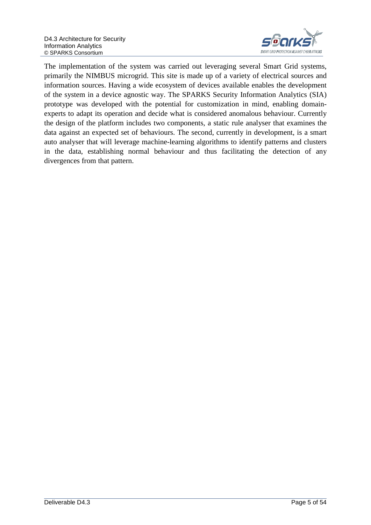

The implementation of the system was carried out leveraging several Smart Grid systems, primarily the NIMBUS microgrid. This site is made up of a variety of electrical sources and information sources. Having a wide ecosystem of devices available enables the development of the system in a device agnostic way. The SPARKS Security Information Analytics (SIA) prototype was developed with the potential for customization in mind, enabling domainexperts to adapt its operation and decide what is considered anomalous behaviour. Currently the design of the platform includes two components, a static rule analyser that examines the data against an expected set of behaviours. The second, currently in development, is a smart auto analyser that will leverage machine-learning algorithms to identify patterns and clusters in the data, establishing normal behaviour and thus facilitating the detection of any divergences from that pattern.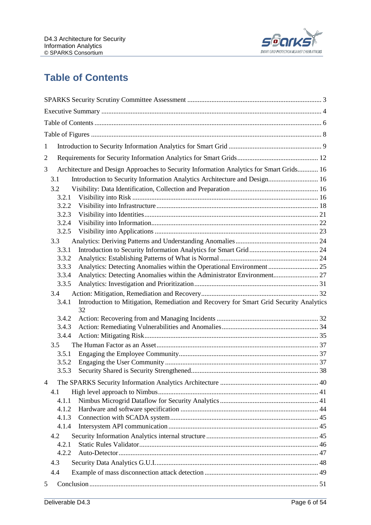

# <span id="page-5-0"></span>**Table of Contents**

| $\mathbf 1$                                                                                  |  |
|----------------------------------------------------------------------------------------------|--|
| $\overline{2}$                                                                               |  |
| Architecture and Design Approaches to Security Information Analytics for Smart Grids 16<br>3 |  |
| Introduction to Security Information Analytics Architecture and Design 16<br>3.1             |  |
| 3.2                                                                                          |  |
| 3.2.1                                                                                        |  |
| 3.2.2                                                                                        |  |
| 3.2.3                                                                                        |  |
| 3.2.4                                                                                        |  |
| 3.2.5                                                                                        |  |
| 3.3                                                                                          |  |
| 3.3.1                                                                                        |  |
| 3.3.2                                                                                        |  |
| Analytics: Detecting Anomalies within the Operational Environment  25<br>3.3.3               |  |
| Analytics: Detecting Anomalies within the Administrator Environment 27<br>3.3.4<br>3.3.5     |  |
|                                                                                              |  |
| 3.4<br>3.4.1                                                                                 |  |
| Introduction to Mitigation, Remediation and Recovery for Smart Grid Security Analytics<br>32 |  |
| 3.4.2                                                                                        |  |
| 3.4.3                                                                                        |  |
| 3.4.4                                                                                        |  |
| 3.5                                                                                          |  |
| 3.5.1                                                                                        |  |
| 3.5.2                                                                                        |  |
| 3.5.3                                                                                        |  |
| $\overline{4}$                                                                               |  |
| 4.1                                                                                          |  |
| 4.1.1                                                                                        |  |
| 4.1.2                                                                                        |  |
| 4.1.3                                                                                        |  |
| 4.1.4                                                                                        |  |
| 4.2                                                                                          |  |
| 4.2.1                                                                                        |  |
| 4.2.2                                                                                        |  |
| 4.3                                                                                          |  |
| 4.4                                                                                          |  |
| 5                                                                                            |  |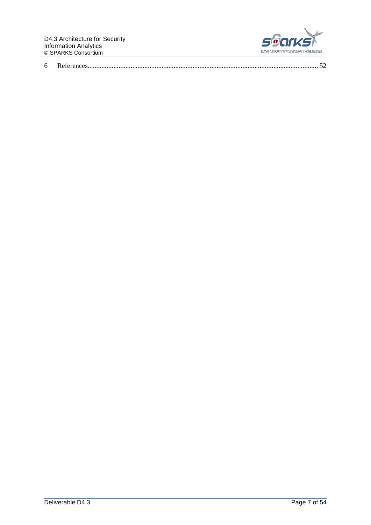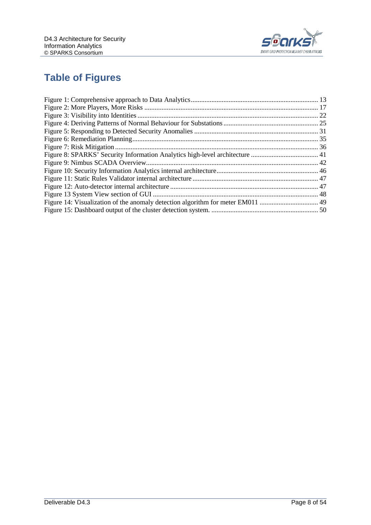

# <span id="page-7-0"></span>**Table of Figures**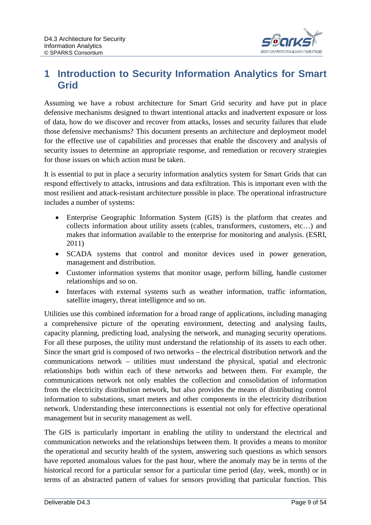

# <span id="page-8-0"></span>**1 Introduction to Security Information Analytics for Smart Grid**

Assuming we have a robust architecture for Smart Grid security and have put in place defensive mechanisms designed to thwart intentional attacks and inadvertent exposure or loss of data, how do we discover and recover from attacks, losses and security failures that elude those defensive mechanisms? This document presents an architecture and deployment model for the effective use of capabilities and processes that enable the discovery and analysis of security issues to determine an appropriate response, and remediation or recovery strategies for those issues on which action must be taken.

It is essential to put in place a security information analytics system for Smart Grids that can respond effectively to attacks, intrusions and data exfiltration. This is important even with the most resilient and attack-resistant architecture possible in place. The operational infrastructure includes a number of systems:

- Enterprise Geographic Information System (GIS) is the platform that creates and collects information about utility assets (cables, transformers, customers, etc…) and makes that information available to the enterprise for monitoring and analysis. (ESRI, 2011)
- SCADA systems that control and monitor devices used in power generation, management and distribution.
- Customer information systems that monitor usage, perform billing, handle customer relationships and so on.
- Interfaces with external systems such as weather information, traffic information, satellite imagery, threat intelligence and so on.

Utilities use this combined information for a broad range of applications, including managing a comprehensive picture of the operating environment, detecting and analysing faults, capacity planning, predicting load, analysing the network, and managing security operations. For all these purposes, the utility must understand the relationship of its assets to each other. Since the smart grid is composed of two networks – the electrical distribution network and the communications network – utilities must understand the physical, spatial and electronic relationships both within each of these networks and between them. For example, the communications network not only enables the collection and consolidation of information from the electricity distribution network, but also provides the means of distributing control information to substations, smart meters and other components in the electricity distribution network. Understanding these interconnections is essential not only for effective operational management but in security management as well.

The GIS is particularly important in enabling the utility to understand the electrical and communication networks and the relationships between them. It provides a means to monitor the operational and security health of the system, answering such questions as which sensors have reported anomalous values for the past hour, where the anomaly may be in terms of the historical record for a particular sensor for a particular time period (day, week, month) or in terms of an abstracted pattern of values for sensors providing that particular function. This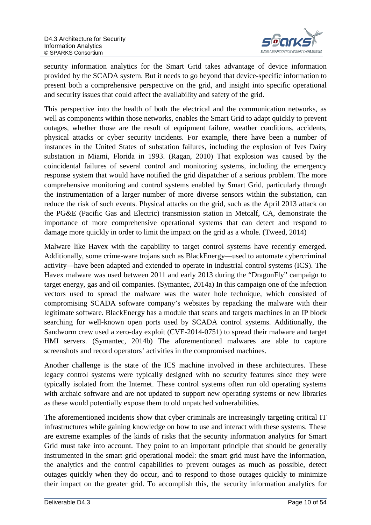

security information analytics for the Smart Grid takes advantage of device information provided by the SCADA system. But it needs to go beyond that device-specific information to present both a comprehensive perspective on the grid, and insight into specific operational and security issues that could affect the availability and safety of the grid.

This perspective into the health of both the electrical and the communication networks, as well as components within those networks, enables the Smart Grid to adapt quickly to prevent outages, whether those are the result of equipment failure, weather conditions, accidents, physical attacks or cyber security incidents. For example, there have been a number of instances in the United States of substation failures, including the explosion of Ives Dairy substation in Miami, Florida in 1993. (Ragan, 2010) That explosion was caused by the coincidental failures of several control and monitoring systems, including the emergency response system that would have notified the grid dispatcher of a serious problem. The more comprehensive monitoring and control systems enabled by Smart Grid, particularly through the instrumentation of a larger number of more diverse sensors within the substation, can reduce the risk of such events. Physical attacks on the grid, such as the April 2013 attack on the PG&E (Pacific Gas and Electric) transmission station in Metcalf, CA, demonstrate the importance of more comprehensive operational systems that can detect and respond to damage more quickly in order to limit the impact on the grid as a whole. (Tweed, 2014)

Malware like Havex with the capability to target control systems have recently emerged. Additionally, some crime-ware trojans such as BlackEnergy—used to automate cybercriminal activity—have been adapted and extended to operate in industrial control systems (ICS). The Havex malware was used between 2011 and early 2013 during the "DragonFly" campaign to target energy, gas and oil companies. (Symantec, 2014a) In this campaign one of the infection vectors used to spread the malware was the water hole technique, which consisted of compromising SCADA software company's websites by repacking the malware with their legitimate software. BlackEnergy has a module that scans and targets machines in an IP block searching for well-known open ports used by SCADA control systems. Additionally, the Sandworm crew used a zero-day exploit (CVE-2014-0751) to spread their malware and target HMI servers. (Symantec, 2014b) The aforementioned malwares are able to capture screenshots and record operators' activities in the compromised machines.

Another challenge is the state of the ICS machine involved in these architectures. These legacy control systems were typically designed with no security features since they were typically isolated from the Internet. These control systems often run old operating systems with archaic software and are not updated to support new operating systems or new libraries as these would potentially expose them to old unpatched vulnerabilities.

The aforementioned incidents show that cyber criminals are increasingly targeting critical IT infrastructures while gaining knowledge on how to use and interact with these systems. These are extreme examples of the kinds of risks that the security information analytics for Smart Grid must take into account. They point to an important principle that should be generally instrumented in the smart grid operational model: the smart grid must have the information, the analytics and the control capabilities to prevent outages as much as possible, detect outages quickly when they do occur, and to respond to those outages quickly to minimize their impact on the greater grid. To accomplish this, the security information analytics for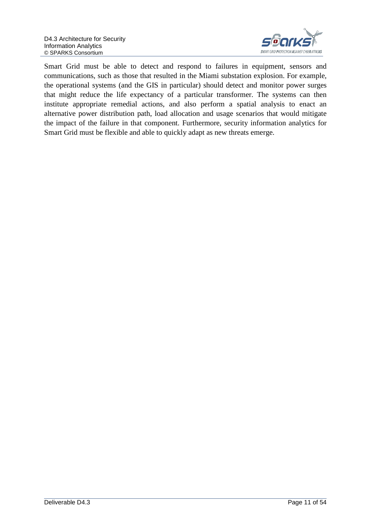

Smart Grid must be able to detect and respond to failures in equipment, sensors and communications, such as those that resulted in the Miami substation explosion. For example, the operational systems (and the GIS in particular) should detect and monitor power surges that might reduce the life expectancy of a particular transformer. The systems can then institute appropriate remedial actions, and also perform a spatial analysis to enact an alternative power distribution path, load allocation and usage scenarios that would mitigate the impact of the failure in that component. Furthermore, security information analytics for Smart Grid must be flexible and able to quickly adapt as new threats emerge.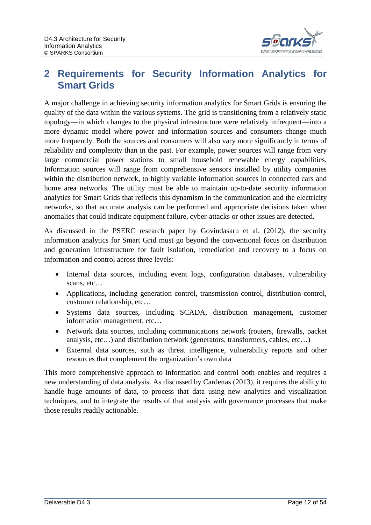

# <span id="page-11-0"></span>**2 Requirements for Security Information Analytics for Smart Grids**

A major challenge in achieving security information analytics for Smart Grids is ensuring the quality of the data within the various systems. The grid is transitioning from a relatively static topology—in which changes to the physical infrastructure were relatively infrequent—into a more dynamic model where power and information sources and consumers change much more frequently. Both the sources and consumers will also vary more significantly in terms of reliability and complexity than in the past. For example, power sources will range from very large commercial power stations to small household renewable energy capabilities. Information sources will range from comprehensive sensors installed by utility companies within the distribution network, to highly variable information sources in connected cars and home area networks. The utility must be able to maintain up-to-date security information analytics for Smart Grids that reflects this dynamism in the communication and the electricity networks, so that accurate analysis can be performed and appropriate decisions taken when anomalies that could indicate equipment failure, cyber-attacks or other issues are detected.

As discussed in the PSERC research paper by Govindasaru et al. (2012), the security information analytics for Smart Grid must go beyond the conventional focus on distribution and generation infrastructure for fault isolation, remediation and recovery to a focus on information and control across three levels:

- Internal data sources, including event logs, configuration databases, vulnerability scans, etc…
- Applications, including generation control, transmission control, distribution control, customer relationship, etc…
- Systems data sources, including SCADA, distribution management, customer information management, etc…
- Network data sources, including communications network (routers, firewalls, packet analysis, etc…) and distribution network (generators, transformers, cables, etc…)
- External data sources, such as threat intelligence, vulnerability reports and other resources that complement the organization's own data

This more comprehensive approach to information and control both enables and requires a new understanding of data analysis. As discussed by Cardenas (2013), it requires the ability to handle huge amounts of data, to process that data using new analytics and visualization techniques, and to integrate the results of that analysis with governance processes that make those results readily actionable.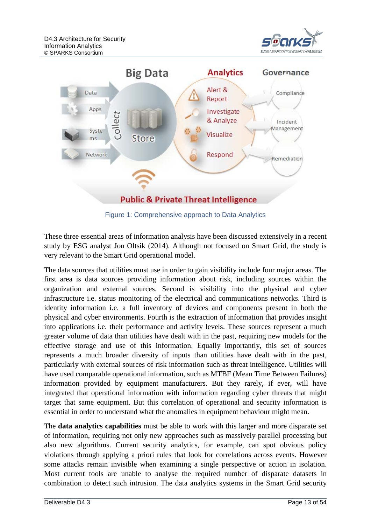



Figure 1: Comprehensive approach to Data Analytics

<span id="page-12-0"></span>These three essential areas of information analysis have been discussed extensively in a recent study by ESG analyst Jon Oltsik (2014). Although not focused on Smart Grid, the study is very relevant to the Smart Grid operational model.

The data sources that utilities must use in order to gain visibility include four major areas. The first area is data sources providing information about risk, including sources within the organization and external sources. Second is visibility into the physical and cyber infrastructure i.e. status monitoring of the electrical and communications networks. Third is identity information i.e. a full inventory of devices and components present in both the physical and cyber environments. Fourth is the extraction of information that provides insight into applications i.e. their performance and activity levels. These sources represent a much greater volume of data than utilities have dealt with in the past, requiring new models for the effective storage and use of this information. Equally importantly, this set of sources represents a much broader diversity of inputs than utilities have dealt with in the past, particularly with external sources of risk information such as threat intelligence. Utilities will have used comparable operational information, such as MTBF (Mean Time Between Failures) information provided by equipment manufacturers. But they rarely, if ever, will have integrated that operational information with information regarding cyber threats that might target that same equipment. But this correlation of operational and security information is essential in order to understand what the anomalies in equipment behaviour might mean.

The **data analytics capabilities** must be able to work with this larger and more disparate set of information, requiring not only new approaches such as massively parallel processing but also new algorithms. Current security analytics, for example, can spot obvious policy violations through applying a priori rules that look for correlations across events. However some attacks remain invisible when examining a single perspective or action in isolation. Most current tools are unable to analyse the required number of disparate datasets in combination to detect such intrusion. The data analytics systems in the Smart Grid security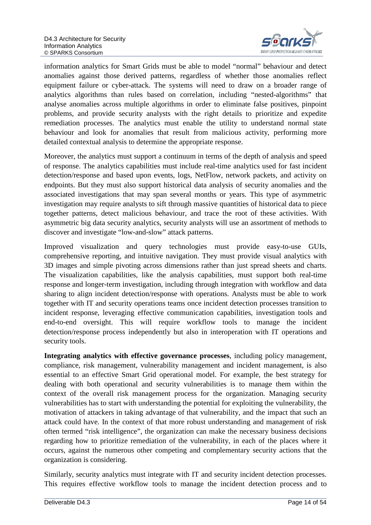

information analytics for Smart Grids must be able to model "normal" behaviour and detect anomalies against those derived patterns, regardless of whether those anomalies reflect equipment failure or cyber-attack. The systems will need to draw on a broader range of analytics algorithms than rules based on correlation, including "nested-algorithms" that analyse anomalies across multiple algorithms in order to eliminate false positives, pinpoint problems, and provide security analysts with the right details to prioritize and expedite remediation processes. The analytics must enable the utility to understand normal state behaviour and look for anomalies that result from malicious activity, performing more detailed contextual analysis to determine the appropriate response.

Moreover, the analytics must support a continuum in terms of the depth of analysis and speed of response. The analytics capabilities must include real-time analytics used for fast incident detection/response and based upon events, logs, NetFlow, network packets, and activity on endpoints. But they must also support historical data analysis of security anomalies and the associated investigations that may span several months or years. This type of asymmetric investigation may require analysts to sift through massive quantities of historical data to piece together patterns, detect malicious behaviour, and trace the root of these activities. With asymmetric big data security analytics, security analysts will use an assortment of methods to discover and investigate "low-and-slow" attack patterns.

Improved visualization and query technologies must provide easy-to-use GUIs, comprehensive reporting, and intuitive navigation. They must provide visual analytics with 3D images and simple pivoting across dimensions rather than just spread sheets and charts. The visualization capabilities, like the analysis capabilities, must support both real-time response and longer-term investigation, including through integration with workflow and data sharing to align incident detection/response with operations. Analysts must be able to work together with IT and security operations teams once incident detection processes transition to incident response, leveraging effective communication capabilities, investigation tools and end-to-end oversight. This will require workflow tools to manage the incident detection/response process independently but also in interoperation with IT operations and security tools.

**Integrating analytics with effective governance processes**, including policy management, compliance, risk management, vulnerability management and incident management, is also essential to an effective Smart Grid operational model. For example, the best strategy for dealing with both operational and security vulnerabilities is to manage them within the context of the overall risk management process for the organization. Managing security vulnerabilities has to start with understanding the potential for exploiting the vulnerability, the motivation of attackers in taking advantage of that vulnerability, and the impact that such an attack could have. In the context of that more robust understanding and management of risk often termed "risk intelligence", the organization can make the necessary business decisions regarding how to prioritize remediation of the vulnerability, in each of the places where it occurs, against the numerous other competing and complementary security actions that the organization is considering.

Similarly, security analytics must integrate with IT and security incident detection processes. This requires effective workflow tools to manage the incident detection process and to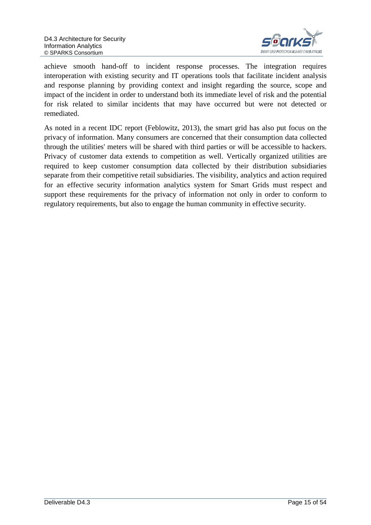

achieve smooth hand-off to incident response processes. The integration requires interoperation with existing security and IT operations tools that facilitate incident analysis and response planning by providing context and insight regarding the source, scope and impact of the incident in order to understand both its immediate level of risk and the potential for risk related to similar incidents that may have occurred but were not detected or remediated.

As noted in a recent IDC report (Feblowitz, 2013), the smart grid has also put focus on the privacy of information. Many consumers are concerned that their consumption data collected through the utilities' meters will be shared with third parties or will be accessible to hackers. Privacy of customer data extends to competition as well. Vertically organized utilities are required to keep customer consumption data collected by their distribution subsidiaries separate from their competitive retail subsidiaries. The visibility, analytics and action required for an effective security information analytics system for Smart Grids must respect and support these requirements for the privacy of information not only in order to conform to regulatory requirements, but also to engage the human community in effective security.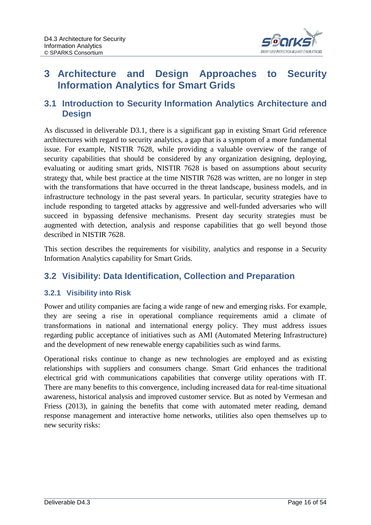

## <span id="page-15-0"></span>**3 Architecture and Design Approaches to Security Information Analytics for Smart Grids**

#### <span id="page-15-1"></span>**3.1 Introduction to Security Information Analytics Architecture and Design**

As discussed in deliverable D3.1, there is a significant gap in existing Smart Grid reference architectures with regard to security analytics, a gap that is a symptom of a more fundamental issue. For example, NISTIR 7628, while providing a valuable overview of the range of security capabilities that should be considered by any organization designing, deploying, evaluating or auditing smart grids, NISTIR 7628 is based on assumptions about security strategy that, while best practice at the time NISTIR 7628 was written, are no longer in step with the transformations that have occurred in the threat landscape, business models, and in infrastructure technology in the past several years. In particular, security strategies have to include responding to targeted attacks by aggressive and well-funded adversaries who will succeed in bypassing defensive mechanisms. Present day security strategies must be augmented with detection, analysis and response capabilities that go well beyond those described in NISTIR 7628.

This section describes the requirements for visibility, analytics and response in a Security Information Analytics capability for Smart Grids.

#### <span id="page-15-2"></span>**3.2 Visibility: Data Identification, Collection and Preparation**

#### <span id="page-15-3"></span>**3.2.1 Visibility into Risk**

Power and utility companies are facing a wide range of new and emerging risks. For example, they are seeing a rise in operational compliance requirements amid a climate of transformations in national and international energy policy. They must address issues regarding public acceptance of initiatives such as AMI (Automated Metering Infrastructure) and the development of new renewable energy capabilities such as wind farms.

Operational risks continue to change as new technologies are employed and as existing relationships with suppliers and consumers change. Smart Grid enhances the traditional electrical grid with communications capabilities that converge utility operations with IT. There are many benefits to this convergence, including increased data for real-time situational awareness, historical analysis and improved customer service. But as noted by Vermesan and Friess (2013), in gaining the benefits that come with automated meter reading, demand response management and interactive home networks, utilities also open themselves up to new security risks: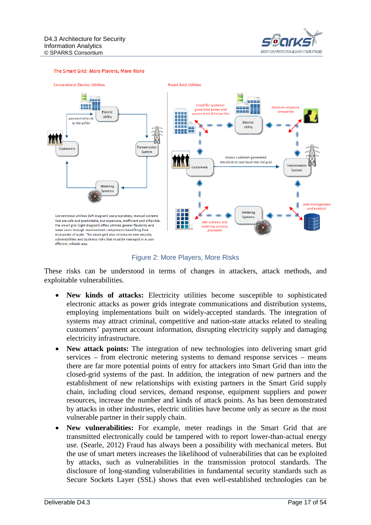

#### The Smart Grid: More Players, More Risks



Figure 2: More Players, More Risks

<span id="page-16-0"></span>These risks can be understood in terms of changes in attackers, attack methods, and exploitable vulnerabilities.

- **New kinds of attacks:** Electricity utilities become susceptible to sophisticated electronic attacks as power grids integrate communications and distribution systems, employing implementations built on widely-accepted standards. The integration of systems may attract criminal, competitive and nation-state attacks related to stealing customers' payment account information, disrupting electricity supply and damaging electricity infrastructure.
- New attack points: The integration of new technologies into delivering smart grid services – from electronic metering systems to demand response services – means there are far more potential points of entry for attackers into Smart Grid than into the closed-grid systems of the past. In addition, the integration of new partners and the establishment of new relationships with existing partners in the Smart Grid supply chain, including cloud services, demand response, equipment suppliers and power resources, increase the number and kinds of attack points. As has been demonstrated by attacks in other industries, electric utilities have become only as secure as the most vulnerable partner in their supply chain.
- **New vulnerabilities:** For example, meter readings in the Smart Grid that are transmitted electronically could be tampered with to report lower-than-actual energy use. (Searle, 2012) Fraud has always been a possibility with mechanical meters. But the use of smart meters increases the likelihood of vulnerabilities that can be exploited by attacks, such as vulnerabilities in the transmission protocol standards. The disclosure of long-standing vulnerabilities in fundamental security standards such as Secure Sockets Layer (SSL) shows that even well-established technologies can be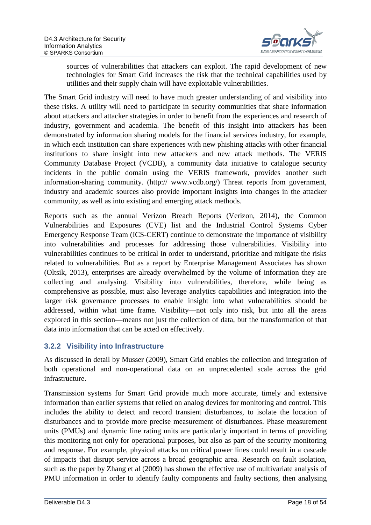

sources of vulnerabilities that attackers can exploit. The rapid development of new technologies for Smart Grid increases the risk that the technical capabilities used by utilities and their supply chain will have exploitable vulnerabilities.

The Smart Grid industry will need to have much greater understanding of and visibility into these risks. A utility will need to participate in security communities that share information about attackers and attacker strategies in order to benefit from the experiences and research of industry, government and academia. The benefit of this insight into attackers has been demonstrated by information sharing models for the financial services industry, for example, in which each institution can share experiences with new phishing attacks with other financial institutions to share insight into new attackers and new attack methods. The VERIS Community Database Project (VCDB), a community data initiative to catalogue security incidents in the public domain using the VERIS framework, provides another such information-sharing community. (http:// www.vcdb.org/) Threat reports from government, industry and academic sources also provide important insights into changes in the attacker community, as well as into existing and emerging attack methods.

Reports such as the annual Verizon Breach Reports (Verizon, 2014), the Common Vulnerabilities and Exposures (CVE) list and the Industrial Control Systems Cyber Emergency Response Team (ICS-CERT) continue to demonstrate the importance of visibility into vulnerabilities and processes for addressing those vulnerabilities. Visibility into vulnerabilities continues to be critical in order to understand, prioritize and mitigate the risks related to vulnerabilities. But as a report by Enterprise Management Associates has shown (Oltsik, 2013), enterprises are already overwhelmed by the volume of information they are collecting and analysing. Visibility into vulnerabilities, therefore, while being as comprehensive as possible, must also leverage analytics capabilities and integration into the larger risk governance processes to enable insight into what vulnerabilities should be addressed, within what time frame. Visibility—not only into risk, but into all the areas explored in this section—means not just the collection of data, but the transformation of that data into information that can be acted on effectively.

#### <span id="page-17-0"></span>**3.2.2 Visibility into Infrastructure**

As discussed in detail by Musser (2009), Smart Grid enables the collection and integration of both operational and non-operational data on an unprecedented scale across the grid infrastructure.

Transmission systems for Smart Grid provide much more accurate, timely and extensive information than earlier systems that relied on analog devices for monitoring and control. This includes the ability to detect and record transient disturbances, to isolate the location of disturbances and to provide more precise measurement of disturbances. Phase measurement units (PMUs) and dynamic line rating units are particularly important in terms of providing this monitoring not only for operational purposes, but also as part of the security monitoring and response. For example, physical attacks on critical power lines could result in a cascade of impacts that disrupt service across a broad geographic area. Research on fault isolation, such as the paper by Zhang et al (2009) has shown the effective use of multivariate analysis of PMU information in order to identify faulty components and faulty sections, then analysing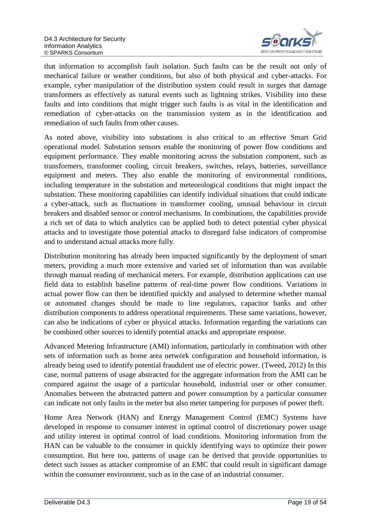

that information to accomplish fault isolation. Such faults can be the result not only of mechanical failure or weather conditions, but also of both physical and cyber-attacks. For example, cyber manipulation of the distribution system could result in surges that damage transformers as effectively as natural events such as lightning strikes. Visibility into these faults and into conditions that might trigger such faults is as vital in the identification and remediation of cyber-attacks on the transmission system as in the identification and remediation of such faults from other causes.

As noted above, visibility into substations is also critical to an effective Smart Grid operational model. Substation sensors enable the monitoring of power flow conditions and equipment performance. They enable monitoring across the substation component, such as transformers, transformer cooling, circuit breakers, switches, relays, batteries, surveillance equipment and meters. They also enable the monitoring of environmental conditions, including temperature in the substation and meteorological conditions that might impact the substation. These monitoring capabilities can identify individual situations that could indicate a cyber-attack, such as fluctuations in transformer cooling, unusual behaviour in circuit breakers and disabled sensor or control mechanisms. In combinations, the capabilities provide a rich set of data to which analytics can be applied both to detect potential cyber physical attacks and to investigate those potential attacks to disregard false indicators of compromise and to understand actual attacks more fully.

Distribution monitoring has already been impacted significantly by the deployment of smart meters, providing a much more extensive and varied set of information than was available through manual reading of mechanical meters. For example, distribution applications can use field data to establish baseline patterns of real-time power flow conditions. Variations in actual power flow can then be identified quickly and analysed to determine whether manual or automated changes should be made to line regulators, capacitor banks and other distribution components to address operational requirements. These same variations, however, can also be indications of cyber or physical attacks. Information regarding the variations can be combined other sources to identify potential attacks and appropriate response.

Advanced Metering Infrastructure (AMI) information, particularly in combination with other sets of information such as home area network configuration and household information, is already being used to identify potential fraudulent use of electric power. (Tweed, 2012) In this case, normal patterns of usage abstracted for the aggregate information from the AMI can be compared against the usage of a particular household, industrial user or other consumer. Anomalies between the abstracted pattern and power consumption by a particular consumer can indicate not only faults in the meter but also meter tampering for purposes of power theft.

Home Area Network (HAN) and Energy Management Control (EMC) Systems have developed in response to consumer interest in optimal control of discretionary power usage and utility interest in optimal control of load conditions. Monitoring information from the HAN can be valuable to the consumer in quickly identifying ways to optimize their power consumption. But here too, patterns of usage can be derived that provide opportunities to detect such issues as attacker compromise of an EMC that could result in significant damage within the consumer environment, such as in the case of an industrial consumer.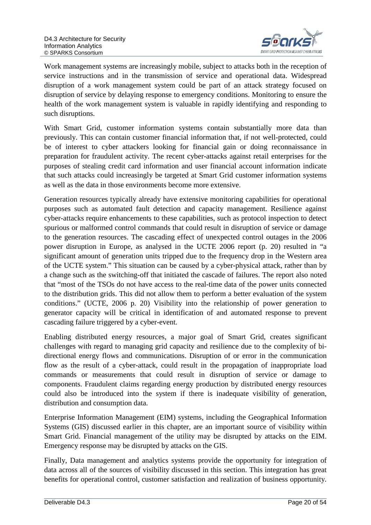

Work management systems are increasingly mobile, subject to attacks both in the reception of service instructions and in the transmission of service and operational data. Widespread disruption of a work management system could be part of an attack strategy focused on disruption of service by delaying response to emergency conditions. Monitoring to ensure the health of the work management system is valuable in rapidly identifying and responding to such disruptions.

With Smart Grid, customer information systems contain substantially more data than previously. This can contain customer financial information that, if not well-protected, could be of interest to cyber attackers looking for financial gain or doing reconnaissance in preparation for fraudulent activity. The recent cyber-attacks against retail enterprises for the purposes of stealing credit card information and user financial account information indicate that such attacks could increasingly be targeted at Smart Grid customer information systems as well as the data in those environments become more extensive.

Generation resources typically already have extensive monitoring capabilities for operational purposes such as automated fault detection and capacity management. Resilience against cyber-attacks require enhancements to these capabilities, such as protocol inspection to detect spurious or malformed control commands that could result in disruption of service or damage to the generation resources. The cascading effect of unexpected control outages in the 2006 power disruption in Europe, as analysed in the UCTE 2006 report (p. 20) resulted in "a significant amount of generation units tripped due to the frequency drop in the Western area of the UCTE system." This situation can be caused by a cyber-physical attack, rather than by a change such as the switching-off that initiated the cascade of failures. The report also noted that "most of the TSOs do not have access to the real-time data of the power units connected to the distribution grids. This did not allow them to perform a better evaluation of the system conditions." (UCTE, 2006 p. 20) Visibility into the relationship of power generation to generator capacity will be critical in identification of and automated response to prevent cascading failure triggered by a cyber-event.

Enabling distributed energy resources, a major goal of Smart Grid, creates significant challenges with regard to managing grid capacity and resilience due to the complexity of bidirectional energy flows and communications. Disruption of or error in the communication flow as the result of a cyber-attack, could result in the propagation of inappropriate load commands or measurements that could result in disruption of service or damage to components. Fraudulent claims regarding energy production by distributed energy resources could also be introduced into the system if there is inadequate visibility of generation, distribution and consumption data.

Enterprise Information Management (EIM) systems, including the Geographical Information Systems (GIS) discussed earlier in this chapter, are an important source of visibility within Smart Grid. Financial management of the utility may be disrupted by attacks on the EIM. Emergency response may be disrupted by attacks on the GIS.

Finally, Data management and analytics systems provide the opportunity for integration of data across all of the sources of visibility discussed in this section. This integration has great benefits for operational control, customer satisfaction and realization of business opportunity.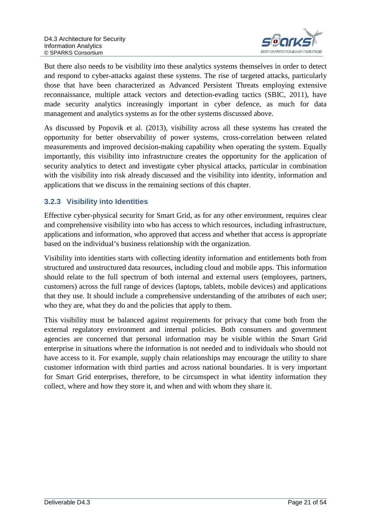

But there also needs to be visibility into these analytics systems themselves in order to detect and respond to cyber-attacks against these systems. The rise of targeted attacks, particularly those that have been characterized as Advanced Persistent Threats employing extensive reconnaissance, multiple attack vectors and detection-evading tactics (SBIC, 2011), have made security analytics increasingly important in cyber defence, as much for data management and analytics systems as for the other systems discussed above.

As discussed by Popovik et al. (2013), visibility across all these systems has created the opportunity for better observability of power systems, cross-correlation between related measurements and improved decision-making capability when operating the system. Equally importantly, this visibility into infrastructure creates the opportunity for the application of security analytics to detect and investigate cyber physical attacks, particular in combination with the visibility into risk already discussed and the visibility into identity, information and applications that we discuss in the remaining sections of this chapter.

#### <span id="page-20-0"></span>**3.2.3 Visibility into Identities**

Effective cyber-physical security for Smart Grid, as for any other environment, requires clear and comprehensive visibility into who has access to which resources, including infrastructure, applications and information, who approved that access and whether that access is appropriate based on the individual's business relationship with the organization.

Visibility into identities starts with collecting identity information and entitlements both from structured and unstructured data resources, including cloud and mobile apps. This information should relate to the full spectrum of both internal and external users (employees, partners, customers) across the full range of devices (laptops, tablets, mobile devices) and applications that they use. It should include a comprehensive understanding of the attributes of each user; who they are, what they do and the policies that apply to them.

This visibility must be balanced against requirements for privacy that come both from the external regulatory environment and internal policies. Both consumers and government agencies are concerned that personal information may be visible within the Smart Grid enterprise in situations where the information is not needed and to individuals who should not have access to it. For example, supply chain relationships may encourage the utility to share customer information with third parties and across national boundaries. It is very important for Smart Grid enterprises, therefore, to be circumspect in what identity information they collect, where and how they store it, and when and with whom they share it.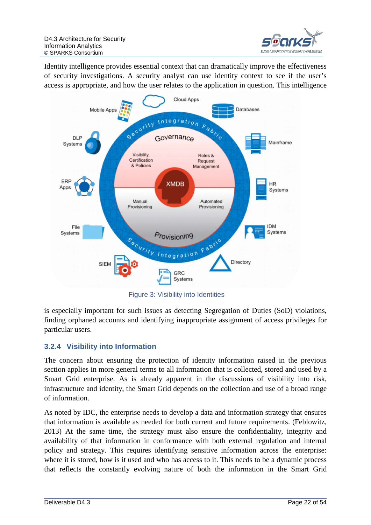

Identity intelligence provides essential context that can dramatically improve the effectiveness of security investigations. A security analyst can use identity context to see if the user's access is appropriate, and how the user relates to the application in question. This intelligence



Figure 3: Visibility into Identities

is especially important for such issues as detecting Segregation of Duties (SoD) violations, finding orphaned accounts and identifying inappropriate assignment of access privileges for particular users.

#### <span id="page-21-0"></span>**3.2.4 Visibility into Information**

The concern about ensuring the protection of identity information raised in the previous section applies in more general terms to all information that is collected, stored and used by a Smart Grid enterprise. As is already apparent in the discussions of visibility into risk, infrastructure and identity, the Smart Grid depends on the collection and use of a broad range of information.

As noted by IDC, the enterprise needs to develop a data and information strategy that ensures that information is available as needed for both current and future requirements. (Feblowitz, 2013) At the same time, the strategy must also ensure the confidentiality, integrity and availability of that information in conformance with both external regulation and internal policy and strategy. This requires identifying sensitive information across the enterprise: where it is stored, how is it used and who has access to it. This needs to be a dynamic process that reflects the constantly evolving nature of both the information in the Smart Grid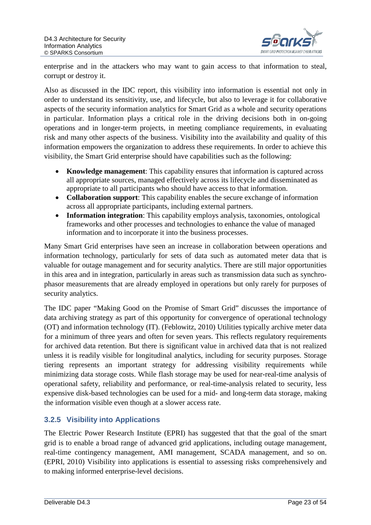

enterprise and in the attackers who may want to gain access to that information to steal, corrupt or destroy it.

Also as discussed in the IDC report, this visibility into information is essential not only in order to understand its sensitivity, use, and lifecycle, but also to leverage it for collaborative aspects of the security information analytics for Smart Grid as a whole and security operations in particular. Information plays a critical role in the driving decisions both in on-going operations and in longer-term projects, in meeting compliance requirements, in evaluating risk and many other aspects of the business. Visibility into the availability and quality of this information empowers the organization to address these requirements. In order to achieve this visibility, the Smart Grid enterprise should have capabilities such as the following:

- **Knowledge management**: This capability ensures that information is captured across all appropriate sources, managed effectively across its lifecycle and disseminated as appropriate to all participants who should have access to that information.
- **Collaboration support**: This capability enables the secure exchange of information across all appropriate participants, including external partners.
- **Information integration**: This capability employs analysis, taxonomies, ontological frameworks and other processes and technologies to enhance the value of managed information and to incorporate it into the business processes.

Many Smart Grid enterprises have seen an increase in collaboration between operations and information technology, particularly for sets of data such as automated meter data that is valuable for outage management and for security analytics. There are still major opportunities in this area and in integration, particularly in areas such as transmission data such as synchrophasor measurements that are already employed in operations but only rarely for purposes of security analytics.

The IDC paper "Making Good on the Promise of Smart Grid" discusses the importance of data archiving strategy as part of this opportunity for convergence of operational technology (OT) and information technology (IT). (Feblowitz, 2010) Utilities typically archive meter data for a minimum of three years and often for seven years. This reflects regulatory requirements for archived data retention. But there is significant value in archived data that is not realized unless it is readily visible for longitudinal analytics, including for security purposes. Storage tiering represents an important strategy for addressing visibility requirements while minimizing data storage costs. While flash storage may be used for near-real-time analysis of operational safety, reliability and performance, or real-time-analysis related to security, less expensive disk-based technologies can be used for a mid- and long-term data storage, making the information visible even though at a slower access rate.

#### <span id="page-22-0"></span>**3.2.5 Visibility into Applications**

The Electric Power Research Institute (EPRI) has suggested that that the goal of the smart grid is to enable a broad range of advanced grid applications, including outage management, real-time contingency management, AMI management, SCADA management, and so on. (EPRI, 2010) Visibility into applications is essential to assessing risks comprehensively and to making informed enterprise-level decisions.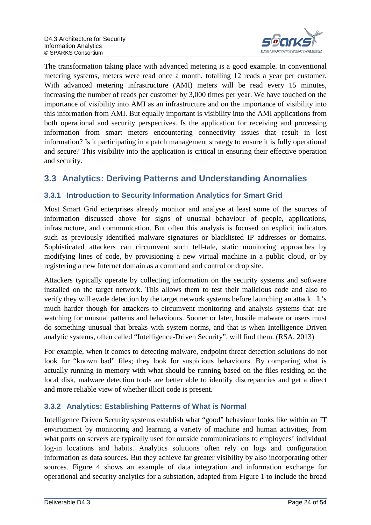

The transformation taking place with advanced metering is a good example. In conventional metering systems, meters were read once a month, totalling 12 reads a year per customer. With advanced metering infrastructure (AMI) meters will be read every 15 minutes, increasing the number of reads per customer by 3,000 times per year. We have touched on the importance of visibility into AMI as an infrastructure and on the importance of visibility into this information from AMI. But equally important is visibility into the AMI applications from both operational and security perspectives. Is the application for receiving and processing information from smart meters encountering connectivity issues that result in lost information? Is it participating in a patch management strategy to ensure it is fully operational and secure? This visibility into the application is critical in ensuring their effective operation and security.

## <span id="page-23-0"></span>**3.3 Analytics: Deriving Patterns and Understanding Anomalies**

#### <span id="page-23-1"></span>**3.3.1 Introduction to Security Information Analytics for Smart Grid**

Most Smart Grid enterprises already monitor and analyse at least some of the sources of information discussed above for signs of unusual behaviour of people, applications, infrastructure, and communication. But often this analysis is focused on explicit indicators such as previously identified malware signatures or blacklisted IP addresses or domains. Sophisticated attackers can circumvent such tell-tale, static monitoring approaches by modifying lines of code, by provisioning a new virtual machine in a public cloud, or by registering a new Internet domain as a command and control or drop site.

Attackers typically operate by collecting information on the security systems and software installed on the target network. This allows them to test their malicious code and also to verify they will evade detection by the target network systems before launching an attack. It's much harder though for attackers to circumvent monitoring and analysis systems that are watching for unusual patterns and behaviours. Sooner or later, hostile malware or users must do something unusual that breaks with system norms, and that is when Intelligence Driven analytic systems, often called "Intelligence-Driven Security", will find them. (RSA, 2013)

For example, when it comes to detecting malware, endpoint threat detection solutions do not look for "known bad" files; they look for suspicious behaviours. By comparing what is actually running in memory with what should be running based on the files residing on the local disk, malware detection tools are better able to identify discrepancies and get a direct and more reliable view of whether illicit code is present.

#### <span id="page-23-2"></span>**3.3.2 Analytics: Establishing Patterns of What is Normal**

Intelligence Driven Security systems establish what "good" behaviour looks like within an IT environment by monitoring and learning a variety of machine and human activities, from what ports on servers are typically used for outside communications to employees' individual log-in locations and habits. Analytics solutions often rely on logs and configuration information as data sources. But they achieve far greater visibility by also incorporating other sources. [Figure 4](#page-24-1) shows an example of data integration and information exchange for operational and security analytics for a substation, adapted from [Figure 1](#page-12-0) to include the broad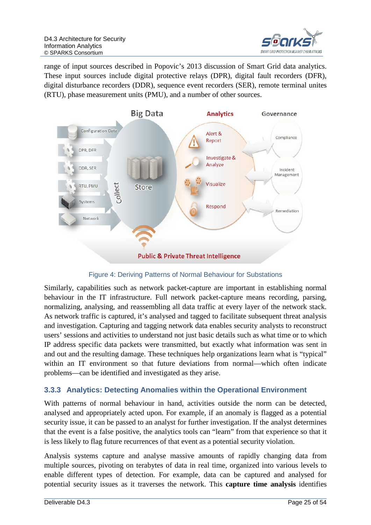

range of input sources described in Popovic's 2013 discussion of Smart Grid data analytics. These input sources include digital protective relays (DPR), digital fault recorders (DFR), digital disturbance recorders (DDR), sequence event recorders (SER), remote terminal unites (RTU), phase measurement units (PMU), and a number of other sources.



Figure 4: Deriving Patterns of Normal Behaviour for Substations

<span id="page-24-1"></span>Similarly, capabilities such as network packet-capture are important in establishing normal behaviour in the IT infrastructure. Full network packet-capture means recording, parsing, normalizing, analysing, and reassembling all data traffic at every layer of the network stack. As network traffic is captured, it's analysed and tagged to facilitate subsequent threat analysis and investigation. Capturing and tagging network data enables security analysts to reconstruct users' sessions and activities to understand not just basic details such as what time or to which IP address specific data packets were transmitted, but exactly what information was sent in and out and the resulting damage. These techniques help organizations learn what is "typical" within an IT environment so that future deviations from normal—which often indicate problems—can be identified and investigated as they arise.

#### <span id="page-24-0"></span>**3.3.3 Analytics: Detecting Anomalies within the Operational Environment**

With patterns of normal behaviour in hand, activities outside the norm can be detected, analysed and appropriately acted upon. For example, if an anomaly is flagged as a potential security issue, it can be passed to an analyst for further investigation. If the analyst determines that the event is a false positive, the analytics tools can "learn" from that experience so that it is less likely to flag future recurrences of that event as a potential security violation.

Analysis systems capture and analyse massive amounts of rapidly changing data from multiple sources, pivoting on terabytes of data in real time, organized into various levels to enable different types of detection. For example, data can be captured and analysed for potential security issues as it traverses the network. This **capture time analysis** identifies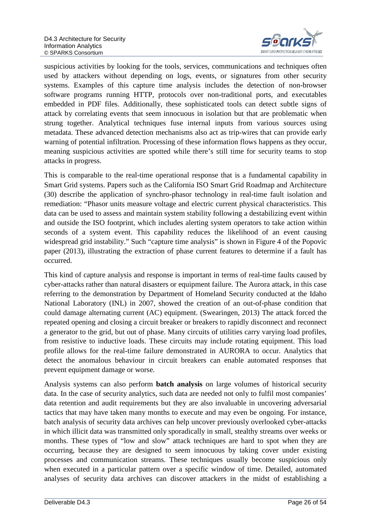

suspicious activities by looking for the tools, services, communications and techniques often used by attackers without depending on logs, events, or signatures from other security systems. Examples of this capture time analysis includes the detection of non-browser software programs running HTTP, protocols over non-traditional ports, and executables embedded in PDF files. Additionally, these sophisticated tools can detect subtle signs of attack by correlating events that seem innocuous in isolation but that are problematic when strung together. Analytical techniques fuse internal inputs from various sources using metadata. These advanced detection mechanisms also act as trip-wires that can provide early warning of potential infiltration. Processing of these information flows happens as they occur, meaning suspicious activities are spotted while there's still time for security teams to stop attacks in progress.

This is comparable to the real-time operational response that is a fundamental capability in Smart Grid systems. Papers such as the California ISO Smart Grid Roadmap and Architecture (30) describe the application of synchro-phasor technology in real-time fault isolation and remediation: "Phasor units measure voltage and electric current physical characteristics. This data can be used to assess and maintain system stability following a destabilizing event within and outside the ISO footprint, which includes alerting system operators to take action within seconds of a system event. This capability reduces the likelihood of an event causing widespread grid instability." Such "capture time analysis" is shown in [Figure 4](#page-24-1) of the Popovic paper (2013), illustrating the extraction of phase current features to determine if a fault has occurred.

This kind of capture analysis and response is important in terms of real-time faults caused by cyber-attacks rather than natural disasters or equipment failure. The Aurora attack, in this case referring to the demonstration by Department of Homeland Security conducted at the Idaho National Laboratory (INL) in 2007, showed the creation of an out-of-phase condition that could damage alternating current (AC) equipment. (Swearingen, 2013) The attack forced the repeated opening and closing a circuit breaker or breakers to rapidly disconnect and reconnect a generator to the grid, but out of phase. Many circuits of utilities carry varying load profiles, from resistive to inductive loads. These circuits may include rotating equipment. This load profile allows for the real-time failure demonstrated in AURORA to occur. Analytics that detect the anomalous behaviour in circuit breakers can enable automated responses that prevent equipment damage or worse.

Analysis systems can also perform **batch analysis** on large volumes of historical security data. In the case of security analytics, such data are needed not only to fulfil most companies' data retention and audit requirements but they are also invaluable in uncovering adversarial tactics that may have taken many months to execute and may even be ongoing. For instance, batch analysis of security data archives can help uncover previously overlooked cyber-attacks in which illicit data was transmitted only sporadically in small, stealthy streams over weeks or months. These types of "low and slow" attack techniques are hard to spot when they are occurring, because they are designed to seem innocuous by taking cover under existing processes and communication streams. These techniques usually become suspicious only when executed in a particular pattern over a specific window of time. Detailed, automated analyses of security data archives can discover attackers in the midst of establishing a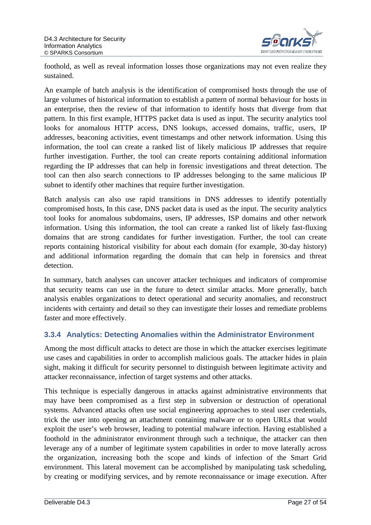

foothold, as well as reveal information losses those organizations may not even realize they sustained.

An example of batch analysis is the identification of compromised hosts through the use of large volumes of historical information to establish a pattern of normal behaviour for hosts in an enterprise, then the review of that information to identify hosts that diverge from that pattern. In this first example, HTTPS packet data is used as input. The security analytics tool looks for anomalous HTTP access, DNS lookups, accessed domains, traffic, users, IP addresses, beaconing activities, event timestamps and other network information. Using this information, the tool can create a ranked list of likely malicious IP addresses that require further investigation. Further, the tool can create reports containing additional information regarding the IP addresses that can help in forensic investigations and threat detection. The tool can then also search connections to IP addresses belonging to the same malicious IP subnet to identify other machines that require further investigation.

Batch analysis can also use rapid transitions in DNS addresses to identify potentially compromised hosts, In this case, DNS packet data is used as the input. The security analytics tool looks for anomalous subdomains, users, IP addresses, ISP domains and other network information. Using this information, the tool can create a ranked list of likely fast-fluxing domains that are strong candidates for further investigation. Further, the tool can create reports containing historical visibility for about each domain (for example, 30-day history) and additional information regarding the domain that can help in forensics and threat detection.

In summary, batch analyses can uncover attacker techniques and indicators of compromise that security teams can use in the future to detect similar attacks. More generally, batch analysis enables organizations to detect operational and security anomalies, and reconstruct incidents with certainty and detail so they can investigate their losses and remediate problems faster and more effectively.

#### <span id="page-26-0"></span>**3.3.4 Analytics: Detecting Anomalies within the Administrator Environment**

Among the most difficult attacks to detect are those in which the attacker exercises legitimate use cases and capabilities in order to accomplish malicious goals. The attacker hides in plain sight, making it difficult for security personnel to distinguish between legitimate activity and attacker reconnaissance, infection of target systems and other attacks.

This technique is especially dangerous in attacks against administrative environments that may have been compromised as a first step in subversion or destruction of operational systems. Advanced attacks often use social engineering approaches to steal user credentials, trick the user into opening an attachment containing malware or to open URLs that would exploit the user's web browser, leading to potential malware infection. Having established a foothold in the administrator environment through such a technique, the attacker can then leverage any of a number of legitimate system capabilities in order to move laterally across the organization, increasing both the scope and kinds of infection of the Smart Grid environment. This lateral movement can be accomplished by manipulating task scheduling, by creating or modifying services, and by remote reconnaissance or image execution. After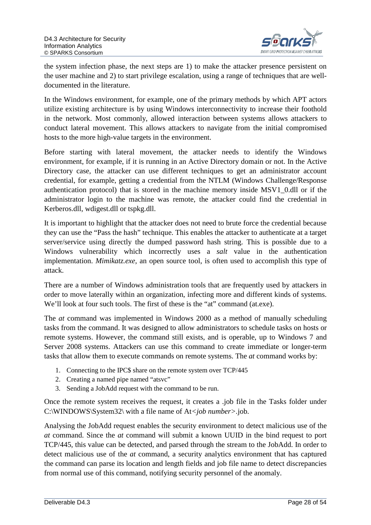

the system infection phase, the next steps are 1) to make the attacker presence persistent on the user machine and 2) to start privilege escalation, using a range of techniques that are welldocumented in the literature.

In the Windows environment, for example, one of the primary methods by which APT actors utilize existing architecture is by using Windows interconnectivity to increase their foothold in the network. Most commonly, allowed interaction between systems allows attackers to conduct lateral movement. This allows attackers to navigate from the initial compromised hosts to the more high-value targets in the environment.

Before starting with lateral movement, the attacker needs to identify the Windows environment, for example, if it is running in an Active Directory domain or not. In the Active Directory case, the attacker can use different techniques to get an administrator account credential, for example, getting a credential from the NTLM (Windows Challenge/Response authentication protocol) that is stored in the machine memory inside MSV1\_0.dll or if the administrator login to the machine was remote, the attacker could find the credential in Kerberos.dll, wdigest.dll or tspkg.dll.

It is important to highlight that the attacker does not need to brute force the credential because they can use the "Pass the hash" technique. This enables the attacker to authenticate at a target server/service using directly the dumped password hash string. This is possible due to a Windows vulnerability which incorrectly uses a *salt* value in the authentication implementation. *Mimikatz.exe*, an open source tool, is often used to accomplish this type of attack.

There are a number of Windows administration tools that are frequently used by attackers in order to move laterally within an organization, infecting more and different kinds of systems. We'll look at four such tools. The first of these is the "at" command (at.exe).

The *at* command was implemented in Windows 2000 as a method of manually scheduling tasks from the command. It was designed to allow administrators to schedule tasks on hosts or remote systems. However, the command still exists, and is operable, up to Windows 7 and Server 2008 systems. Attackers can use this command to create immediate or longer-term tasks that allow them to execute commands on remote systems. The *at* command works by:

- 1. Connecting to the IPC\$ share on the remote system over TCP/445
- 2. Creating a named pipe named "atsvc"
- 3. Sending a JobAdd request with the command to be run.

Once the remote system receives the request, it creates a .job file in the Tasks folder under C:\WINDOWS\System32\ with a file name of At*<job number>.*job.

Analysing the JobAdd request enables the security environment to detect malicious use of the *at* command. Since the *at* command will submit a known UUID in the bind request to port TCP/445, this value can be detected, and parsed through the stream to the JobAdd. In order to detect malicious use of the *at* command, a security analytics environment that has captured the command can parse its location and length fields and job file name to detect discrepancies from normal use of this command, notifying security personnel of the anomaly.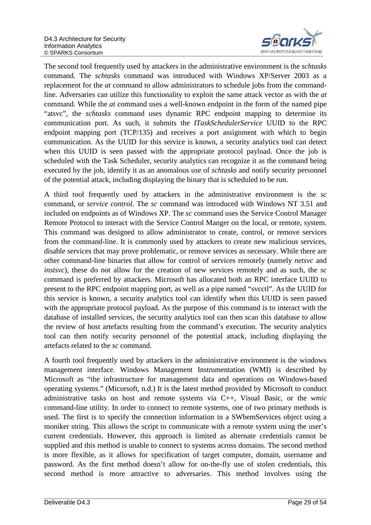

The second tool frequently used by attackers in the administrative environment is the *schtasks* command. The *schtasks* command was introduced with Windows XP/Server 2003 as a replacement for the *at* command to allow administrators to schedule jobs from the commandline. Adversaries can utilize this functionality to exploit the same attack vector as with the *at*  command. While the *at* command uses a well-known endpoint in the form of the named pipe "atsvc", the *schtasks* command uses dynamic RPC endpoint mapping to determine its communication port. As such, it submits the *ITaskSchedulerService* UUID to the RPC endpoint mapping port (TCP/135) and receives a port assignment with which to begin communication. As the UUID for this service is known, a security analytics tool can detect when this UUID is seen passed with the appropriate protocol payload. Once the job is scheduled with the Task Scheduler, security analytics can recognize it as the command being executed by the job, identify it as an anomalous use of *schtasks* and notify security personnel of the potential attack, including displaying the binary that is scheduled to be run.

A third tool frequently used by attackers in the administrative environment is the *sc* command, or *service control*. The *sc* command was introduced with Windows NT 3.51 and included on endpoints as of Windows XP. The *sc* command uses the Service Control Manager Remote Protocol to interact with the Service Control Manger on the local, or remote, system. This command was designed to allow administrator to create, control, or remove services from the command-line. It is commonly used by attackers to create new malicious services, disable services that may prove problematic, or remove services as necessary. While there are other command-line binaries that allow for control of services remotely (namely *netsvc* and *instsvc*), these do not allow for the creation of new services remotely and as such, the *sc*  command is preferred by attackers. Microsoft has allocated both an RPC interface UUID to present to the RPC endpoint mapping port, as well as a pipe named "svcctl". As the UUID for this service is known, a security analytics tool can identify when this UUID is seen passed with the appropriate protocol payload. As the purpose of this command is to interact with the database of installed services, the security analytics tool can then scan this database to allow the review of host artefacts resulting from the command's execution. The security analytics tool can then notify security personnel of the potential attack, including displaying the artefacts related to the *sc* command.

A fourth tool frequently used by attackers in the administrative environment is the windows management interface. Windows Management Instrumentation (WMI) is described by Microsoft as "the infrastructure for management data and operations on Windows-based operating systems." (Micorsoft, n.d.) It is the latest method provided by Microsoft to conduct administrative tasks on host and remote systems via C++, Visual Basic, or the *wmic*  command-line utility. In order to connect to remote systems, one of two primary methods is used. The first is to specify the connection information in a SWbemServices object using a moniker string. This allows the script to communicate with a remote system using the user's current credentials. However, this approach is limited as alternate credentials cannot be supplied and this method is unable to connect to systems across domains. The second method is more flexible, as it allows for specification of target computer, domain, username and password. As the first method doesn't allow for on-the-fly use of stolen credentials, this second method is more attractive to adversaries. This method involves using the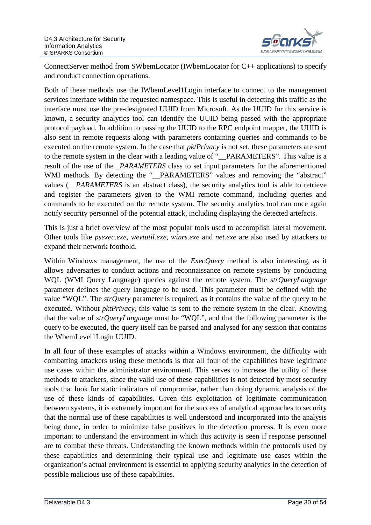

ConnectServer method from SWbemLocator (IWbemLocator for C++ applications) to specify and conduct connection operations.

Both of these methods use the IWbemLevel1Login interface to connect to the management services interface within the requested namespace. This is useful in detecting this traffic as the interface must use the pre-designated UUID from Microsoft. As the UUID for this service is known, a security analytics tool can identify the UUID being passed with the appropriate protocol payload. In addition to passing the UUID to the RPC endpoint mapper, the UUID is also sent in remote requests along with parameters containing queries and commands to be executed on the remote system. In the case that *pktPrivacy* is not set, these parameters are sent to the remote system in the clear with a leading value of "\_\_PARAMETERS". This value is a result of the use of the *\_PARAMETERS* class to set input parameters for the aforementioned WMI methods. By detecting the "\_PARAMETERS" values and removing the "abstract" values (*PARAMETERS* is an abstract class), the security analytics tool is able to retrieve and register the parameters given to the WMI remote command, including queries and commands to be executed on the remote system. The security analytics tool can once again notify security personnel of the potential attack, including displaying the detected artefacts.

This is just a brief overview of the most popular tools used to accomplish lateral movement. Other tools like *psexec.exe*, *wevtutil.exe*, *winrs.exe* and *net.exe* are also used by attackers to expand their network foothold.

Within Windows management, the use of the *ExecQuery* method is also interesting, as it allows adversaries to conduct actions and reconnaissance on remote systems by conducting WQL (WMI Query Language) queries against the remote system. The *strQueryLanguage* parameter defines the query language to be used. This parameter must be defined with the value "WQL". The *strQuery* parameter is required, as it contains the value of the query to be executed. Without *pktPrivacy*, this value is sent to the remote system in the clear. Knowing that the value of *strQueryLanguage* must be "WQL", and that the following parameter is the query to be executed, the query itself can be parsed and analysed for any session that contains the WbemLevel1Login UUID.

In all four of these examples of attacks within a Windows environment, the difficulty with combatting attackers using these methods is that all four of the capabilities have legitimate use cases within the administrator environment. This serves to increase the utility of these methods to attackers, since the valid use of these capabilities is not detected by most security tools that look for static indicators of compromise, rather than doing dynamic analysis of the use of these kinds of capabilities. Given this exploitation of legitimate communication between systems, it is extremely important for the success of analytical approaches to security that the normal use of these capabilities is well understood and incorporated into the analysis being done, in order to minimize false positives in the detection process. It is even more important to understand the environment in which this activity is seen if response personnel are to combat these threats. Understanding the known methods within the protocols used by these capabilities and determining their typical use and legitimate use cases within the organization's actual environment is essential to applying security analytics in the detection of possible malicious use of these capabilities.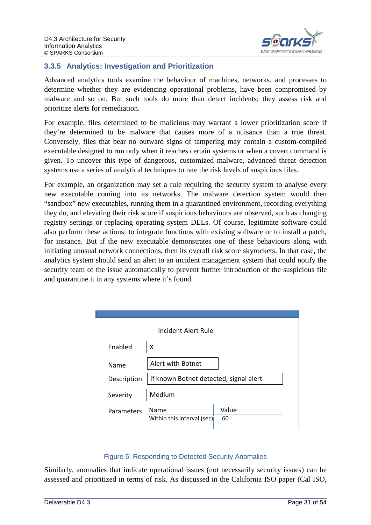

#### <span id="page-30-0"></span>**3.3.5 Analytics: Investigation and Prioritization**

Advanced analytics tools examine the behaviour of machines, networks, and processes to determine whether they are evidencing operational problems, have been compromised by malware and so on. But such tools do more than detect incidents; they assess risk and prioritize alerts for remediation.

For example, files determined to be malicious may warrant a lower prioritization score if they're determined to be malware that causes more of a nuisance than a true threat. Conversely, files that bear no outward signs of tampering may contain a custom-compiled executable designed to run only when it reaches certain systems or when a covert command is given. To uncover this type of dangerous, customized malware, advanced threat detection systems use a series of analytical techniques to rate the risk levels of suspicious files.

For example, an organization may set a rule requiring the security system to analyse every new executable coming into its networks. The malware detection system would then "sandbox" new executables, running them in a quarantined environment, recording everything they do, and elevating their risk score if suspicious behaviours are observed, such as changing registry settings or replacing operating system DLLs. Of course, legitimate software could also perform these actions: to integrate functions with existing software or to install a patch, for instance. But if the new executable demonstrates one of these behaviours along with initiating unusual network connections, then its overall risk score skyrockets. In that case, the analytics system should send an alert to an incident management system that could notify the security team of the issue automatically to prevent further introduction of the suspicious file and quarantine it in any systems where it's found.

|                | Incident Alert Rule                    |             |  |  |  |  |
|----------------|----------------------------------------|-------------|--|--|--|--|
| <b>Fnabled</b> | Χ                                      |             |  |  |  |  |
| Name           | Alert with Botnet                      |             |  |  |  |  |
| Description    | If known Botnet detected, signal alert |             |  |  |  |  |
| Severity       | Medium                                 |             |  |  |  |  |
| Parameters     | Name<br>Within this interval (sec)     | Value<br>60 |  |  |  |  |

#### Figure 5: Responding to Detected Security Anomalies

<span id="page-30-1"></span>Similarly, anomalies that indicate operational issues (not necessarily security issues) can be assessed and prioritized in terms of risk. As discussed in the California ISO paper (Cal ISO,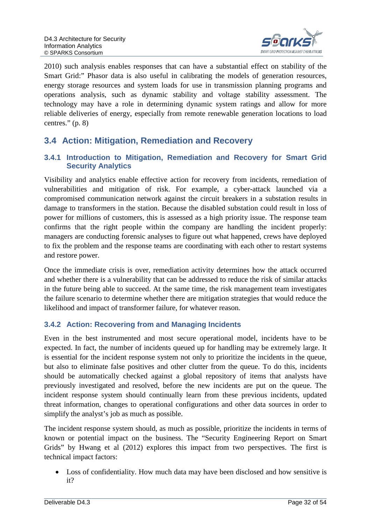

2010) such analysis enables responses that can have a substantial effect on stability of the Smart Grid:" Phasor data is also useful in calibrating the models of generation resources, energy storage resources and system loads for use in transmission planning programs and operations analysis, such as dynamic stability and voltage stability assessment. The technology may have a role in determining dynamic system ratings and allow for more reliable deliveries of energy, especially from remote renewable generation locations to load centres."  $(p. 8)$ 

### <span id="page-31-0"></span>**3.4 Action: Mitigation, Remediation and Recovery**

#### <span id="page-31-1"></span>**3.4.1 Introduction to Mitigation, Remediation and Recovery for Smart Grid Security Analytics**

Visibility and analytics enable effective action for recovery from incidents, remediation of vulnerabilities and mitigation of risk. For example, a cyber-attack launched via a compromised communication network against the circuit breakers in a substation results in damage to transformers in the station. Because the disabled substation could result in loss of power for millions of customers, this is assessed as a high priority issue. The response team confirms that the right people within the company are handling the incident properly: managers are conducting forensic analyses to figure out what happened, crews have deployed to fix the problem and the response teams are coordinating with each other to restart systems and restore power.

Once the immediate crisis is over, remediation activity determines how the attack occurred and whether there is a vulnerability that can be addressed to reduce the risk of similar attacks in the future being able to succeed. At the same time, the risk management team investigates the failure scenario to determine whether there are mitigation strategies that would reduce the likelihood and impact of transformer failure, for whatever reason.

#### <span id="page-31-2"></span>**3.4.2 Action: Recovering from and Managing Incidents**

Even in the best instrumented and most secure operational model, incidents have to be expected. In fact, the number of incidents queued up for handling may be extremely large. It is essential for the incident response system not only to prioritize the incidents in the queue, but also to eliminate false positives and other clutter from the queue. To do this, incidents should be automatically checked against a global repository of items that analysts have previously investigated and resolved, before the new incidents are put on the queue. The incident response system should continually learn from these previous incidents, updated threat information, changes to operational configurations and other data sources in order to simplify the analyst's job as much as possible.

The incident response system should, as much as possible, prioritize the incidents in terms of known or potential impact on the business. The "Security Engineering Report on Smart Grids" by Hwang et al (2012) explores this impact from two perspectives. The first is technical impact factors:

• Loss of confidentiality. How much data may have been disclosed and how sensitive is it?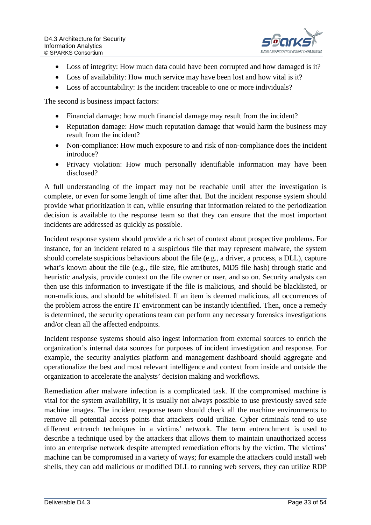

- Loss of integrity: How much data could have been corrupted and how damaged is it?
- Loss of availability: How much service may have been lost and how vital is it?
- Loss of accountability: Is the incident traceable to one or more individuals?

The second is business impact factors:

- Financial damage: how much financial damage may result from the incident?
- Reputation damage: How much reputation damage that would harm the business may result from the incident?
- Non-compliance: How much exposure to and risk of non-compliance does the incident introduce?
- Privacy violation: How much personally identifiable information may have been disclosed?

A full understanding of the impact may not be reachable until after the investigation is complete, or even for some length of time after that. But the incident response system should provide what prioritization it can, while ensuring that information related to the periodization decision is available to the response team so that they can ensure that the most important incidents are addressed as quickly as possible.

Incident response system should provide a rich set of context about prospective problems. For instance, for an incident related to a suspicious file that may represent malware, the system should correlate suspicious behaviours about the file (e.g., a driver, a process, a DLL), capture what's known about the file (e.g., file size, file attributes, MD5 file hash) through static and heuristic analysis, provide context on the file owner or user, and so on. Security analysts can then use this information to investigate if the file is malicious, and should be blacklisted, or non-malicious, and should be whitelisted. If an item is deemed malicious, all occurrences of the problem across the entire IT environment can be instantly identified. Then, once a remedy is determined, the security operations team can perform any necessary forensics investigations and/or clean all the affected endpoints.

Incident response systems should also ingest information from external sources to enrich the organization's internal data sources for purposes of incident investigation and response. For example, the security analytics platform and management dashboard should aggregate and operationalize the best and most relevant intelligence and context from inside and outside the organization to accelerate the analysts' decision making and workflows.

Remediation after malware infection is a complicated task. If the compromised machine is vital for the system availability, it is usually not always possible to use previously saved safe machine images. The incident response team should check all the machine environments to remove all potential access points that attackers could utilize. Cyber criminals tend to use different entrench techniques in a victims' network. The term entrenchment is used to describe a technique used by the attackers that allows them to maintain unauthorized access into an enterprise network despite attempted remediation efforts by the victim. The victims' machine can be compromised in a variety of ways; for example the attackers could install web shells, they can add malicious or modified DLL to running web servers, they can utilize RDP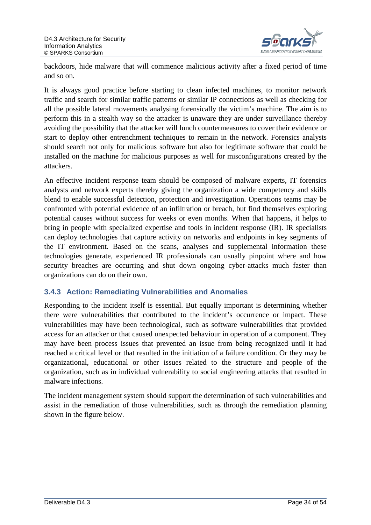

backdoors, hide malware that will commence malicious activity after a fixed period of time and so on.

It is always good practice before starting to clean infected machines, to monitor network traffic and search for similar traffic patterns or similar IP connections as well as checking for all the possible lateral movements analysing forensically the victim's machine. The aim is to perform this in a stealth way so the attacker is unaware they are under surveillance thereby avoiding the possibility that the attacker will lunch countermeasures to cover their evidence or start to deploy other entrenchment techniques to remain in the network. Forensics analysts should search not only for malicious software but also for legitimate software that could be installed on the machine for malicious purposes as well for misconfigurations created by the attackers.

An effective incident response team should be composed of malware experts, IT forensics analysts and network experts thereby giving the organization a wide competency and skills blend to enable successful detection, protection and investigation. Operations teams may be confronted with potential evidence of an infiltration or breach, but find themselves exploring potential causes without success for weeks or even months. When that happens, it helps to bring in people with specialized expertise and tools in incident response (IR). IR specialists can deploy technologies that capture activity on networks and endpoints in key segments of the IT environment. Based on the scans, analyses and supplemental information these technologies generate, experienced IR professionals can usually pinpoint where and how security breaches are occurring and shut down ongoing cyber-attacks much faster than organizations can do on their own.

#### <span id="page-33-0"></span>**3.4.3 Action: Remediating Vulnerabilities and Anomalies**

Responding to the incident itself is essential. But equally important is determining whether there were vulnerabilities that contributed to the incident's occurrence or impact. These vulnerabilities may have been technological, such as software vulnerabilities that provided access for an attacker or that caused unexpected behaviour in operation of a component. They may have been process issues that prevented an issue from being recognized until it had reached a critical level or that resulted in the initiation of a failure condition. Or they may be organizational, educational or other issues related to the structure and people of the organization, such as in individual vulnerability to social engineering attacks that resulted in malware infections.

The incident management system should support the determination of such vulnerabilities and assist in the remediation of those vulnerabilities, such as through the remediation planning shown in the figure below.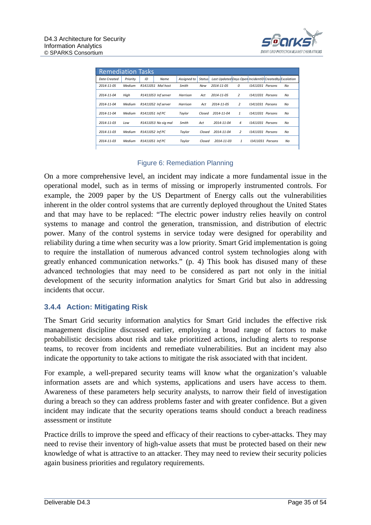

| <b>Remediation Tasks</b> |          |                     |                     |             |        |                                                        |                |                  |    |
|--------------------------|----------|---------------------|---------------------|-------------|--------|--------------------------------------------------------|----------------|------------------|----|
| Date Created             | Priority | ID                  | Name                | Assigned to | Status | Last Updated Days Open IncidentID Createdby Escalation |                |                  |    |
| 2014-11-05               | Medium   |                     | R1411051 Malhost    | Smith       | New    | 2014-11-05                                             | 0              | 11411031 Parsons | No |
| 2014-11-04               | High     |                     | R1411053 Inf server | Harrison    | Act    | 2014-11-05                                             | $\overline{z}$ | 11411031 Parsons | No |
| 2014-11-04               | Medium   | R1411052 Inf server |                     | Harrison    | Act    | 2014-11-05                                             | $\overline{2}$ | 11411031 Parsons | No |
| 2014-11-04               | Medium   | R1411051 Inf PC     |                     | Taylor      | Closed | 2014-11-04                                             | $\mathbf{1}$   | 11411031 Parsons | No |
| 2014-11-03               | Low      |                     | R1411053 No sia mal | Smith       | Act    | 2014-11-04                                             | $\overline{4}$ | 11411031 Parsons | No |
| 2014-11-03               | Medium   | R1411052 Inf PC     |                     | Taylor      | Closed | 2014-11-04                                             | $\overline{2}$ | 11411031 Parsons | No |
| 2014-11-03               | Medium   | R1411051 Inf PC     |                     | Taylor      | Closed | 2014-11-03                                             | 1              | 11411031 Parsons | No |
|                          |          |                     |                     |             |        |                                                        |                |                  |    |

#### Figure 6: Remediation Planning

<span id="page-34-1"></span>On a more comprehensive level, an incident may indicate a more fundamental issue in the operational model, such as in terms of missing or improperly instrumented controls. For example, the 2009 paper by the US Department of Energy calls out the vulnerabilities inherent in the older control systems that are currently deployed throughout the United States and that may have to be replaced: "The electric power industry relies heavily on control systems to manage and control the generation, transmission, and distribution of electric power. Many of the control systems in service today were designed for operability and reliability during a time when security was a low priority. Smart Grid implementation is going to require the installation of numerous advanced control system technologies along with greatly enhanced communication networks." (p. 4) This book has disused many of these advanced technologies that may need to be considered as part not only in the initial development of the security information analytics for Smart Grid but also in addressing incidents that occur.

#### <span id="page-34-0"></span>**3.4.4 Action: Mitigating Risk**

The Smart Grid security information analytics for Smart Grid includes the effective risk management discipline discussed earlier, employing a broad range of factors to make probabilistic decisions about risk and take prioritized actions, including alerts to response teams, to recover from incidents and remediate vulnerabilities. But an incident may also indicate the opportunity to take actions to mitigate the risk associated with that incident.

For example, a well-prepared security teams will know what the organization's valuable information assets are and which systems, applications and users have access to them. Awareness of these parameters help security analysts, to narrow their field of investigation during a breach so they can address problems faster and with greater confidence. But a given incident may indicate that the security operations teams should conduct a breach readiness assessment or institute

Practice drills to improve the speed and efficacy of their reactions to cyber-attacks. They may need to revise their inventory of high-value assets that must be protected based on their new knowledge of what is attractive to an attacker. They may need to review their security policies again business priorities and regulatory requirements.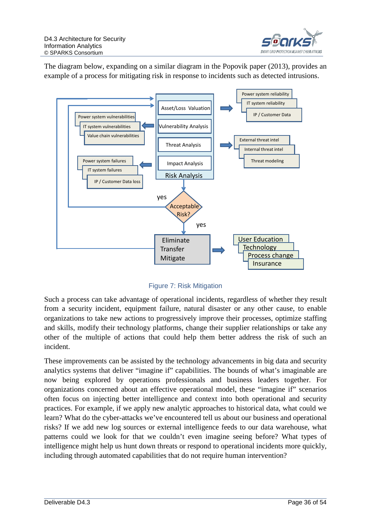

The diagram below, expanding on a similar diagram in the Popovik paper (2013), provides an example of a process for mitigating risk in response to incidents such as detected intrusions.



Figure 7: Risk Mitigation

<span id="page-35-0"></span>Such a process can take advantage of operational incidents, regardless of whether they result from a security incident, equipment failure, natural disaster or any other cause, to enable organizations to take new actions to progressively improve their processes, optimize staffing and skills, modify their technology platforms, change their supplier relationships or take any other of the multiple of actions that could help them better address the risk of such an incident.

These improvements can be assisted by the technology advancements in big data and security analytics systems that deliver "imagine if" capabilities. The bounds of what's imaginable are now being explored by operations professionals and business leaders together. For organizations concerned about an effective operational model, these "imagine if" scenarios often focus on injecting better intelligence and context into both operational and security practices. For example, if we apply new analytic approaches to historical data, what could we learn? What do the cyber-attacks we've encountered tell us about our business and operational risks? If we add new log sources or external intelligence feeds to our data warehouse, what patterns could we look for that we couldn't even imagine seeing before? What types of intelligence might help us hunt down threats or respond to operational incidents more quickly, including through automated capabilities that do not require human intervention?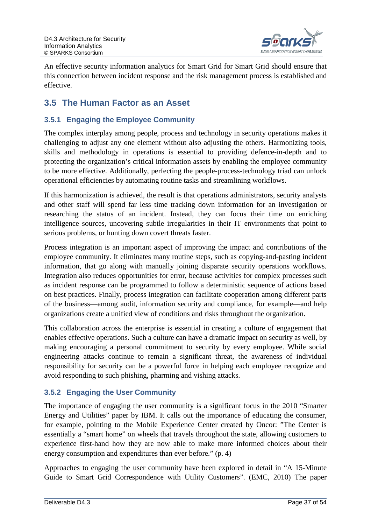

An effective security information analytics for Smart Grid for Smart Grid should ensure that this connection between incident response and the risk management process is established and effective.

### <span id="page-36-0"></span>**3.5 The Human Factor as an Asset**

#### <span id="page-36-1"></span>**3.5.1 Engaging the Employee Community**

The complex interplay among people, process and technology in security operations makes it challenging to adjust any one element without also adjusting the others. Harmonizing tools, skills and methodology in operations is essential to providing defence-in-depth and to protecting the organization's critical information assets by enabling the employee community to be more effective. Additionally, perfecting the people-process-technology triad can unlock operational efficiencies by automating routine tasks and streamlining workflows.

If this harmonization is achieved, the result is that operations administrators, security analysts and other staff will spend far less time tracking down information for an investigation or researching the status of an incident. Instead, they can focus their time on enriching intelligence sources, uncovering subtle irregularities in their IT environments that point to serious problems, or hunting down covert threats faster.

Process integration is an important aspect of improving the impact and contributions of the employee community. It eliminates many routine steps, such as copying-and-pasting incident information, that go along with manually joining disparate security operations workflows. Integration also reduces opportunities for error, because activities for complex processes such as incident response can be programmed to follow a deterministic sequence of actions based on best practices. Finally, process integration can facilitate cooperation among different parts of the business—among audit, information security and compliance, for example—and help organizations create a unified view of conditions and risks throughout the organization.

This collaboration across the enterprise is essential in creating a culture of engagement that enables effective operations. Such a culture can have a dramatic impact on security as well, by making encouraging a personal commitment to security by every employee. While social engineering attacks continue to remain a significant threat, the awareness of individual responsibility for security can be a powerful force in helping each employee recognize and avoid responding to such phishing, pharming and vishing attacks.

#### <span id="page-36-2"></span>**3.5.2 Engaging the User Community**

The importance of engaging the user community is a significant focus in the 2010 "Smarter Energy and Utilities" paper by IBM. It calls out the importance of educating the consumer, for example, pointing to the Mobile Experience Center created by Oncor: "The Center is essentially a "smart home" on wheels that travels throughout the state, allowing customers to experience first-hand how they are now able to make more informed choices about their energy consumption and expenditures than ever before." (p. 4)

Approaches to engaging the user community have been explored in detail in "A 15-Minute Guide to Smart Grid Correspondence with Utility Customers". (EMC, 2010) The paper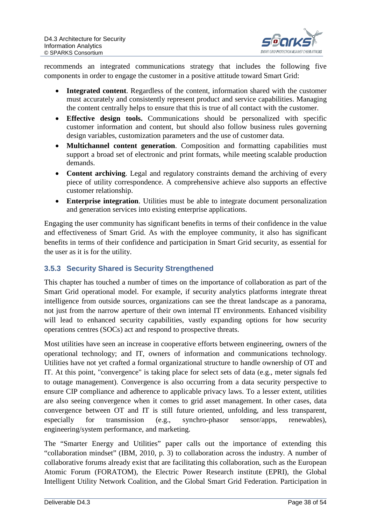

recommends an integrated communications strategy that includes the following five components in order to engage the customer in a positive attitude toward Smart Grid:

- **Integrated content**. Regardless of the content, information shared with the customer must accurately and consistently represent product and service capabilities. Managing the content centrally helps to ensure that this is true of all contact with the customer.
- **Effective design tools.** Communications should be personalized with specific customer information and content, but should also follow business rules governing design variables, customization parameters and the use of customer data.
- **Multichannel content generation**. Composition and formatting capabilities must support a broad set of electronic and print formats, while meeting scalable production demands.
- **Content archiving**. Legal and regulatory constraints demand the archiving of every piece of utility correspondence. A comprehensive achieve also supports an effective customer relationship.
- **Enterprise integration**. Utilities must be able to integrate document personalization and generation services into existing enterprise applications.

Engaging the user community has significant benefits in terms of their confidence in the value and effectiveness of Smart Grid. As with the employee community, it also has significant benefits in terms of their confidence and participation in Smart Grid security, as essential for the user as it is for the utility.

#### <span id="page-37-0"></span>**3.5.3 Security Shared is Security Strengthened**

This chapter has touched a number of times on the importance of collaboration as part of the Smart Grid operational model. For example, if security analytics platforms integrate threat intelligence from outside sources, organizations can see the threat landscape as a panorama, not just from the narrow aperture of their own internal IT environments. Enhanced visibility will lead to enhanced security capabilities, vastly expanding options for how security operations centres (SOCs) act and respond to prospective threats.

Most utilities have seen an increase in cooperative efforts between engineering, owners of the operational technology; and IT, owners of information and communications technology. Utilities have not yet crafted a formal organizational structure to handle ownership of OT and IT. At this point, "convergence" is taking place for select sets of data (e.g., meter signals fed to outage management). Convergence is also occurring from a data security perspective to ensure CIP compliance and adherence to applicable privacy laws. To a lesser extent, utilities are also seeing convergence when it comes to grid asset management. In other cases, data convergence between OT and IT is still future oriented, unfolding, and less transparent, especially for transmission (e.g., synchro-phasor sensor/apps, renewables), engineering/system performance, and marketing.

The "Smarter Energy and Utilities" paper calls out the importance of extending this "collaboration mindset" (IBM, 2010, p. 3) to collaboration across the industry. A number of collaborative forums already exist that are facilitating this collaboration, such as the European Atomic Forum (FORATOM), the Electric Power Research institute (EPRI), the Global Intelligent Utility Network Coalition, and the Global Smart Grid Federation. Participation in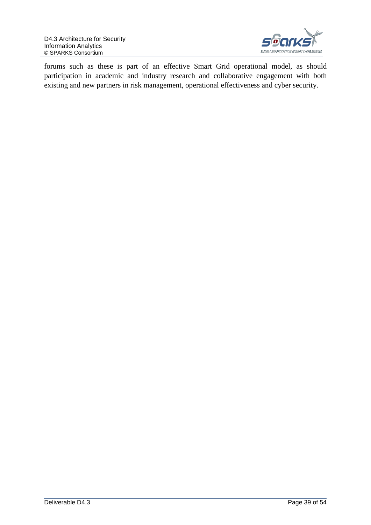

forums such as these is part of an effective Smart Grid operational model, as should participation in academic and industry research and collaborative engagement with both existing and new partners in risk management, operational effectiveness and cyber security.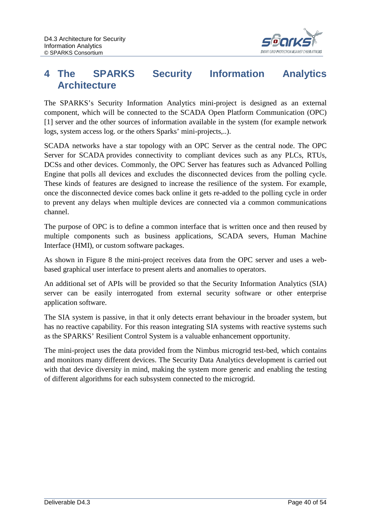

# <span id="page-39-0"></span>**4 The SPARKS Security Information Analytics Architecture**

The SPARKS's Security Information Analytics mini-project is designed as an external component, which will be connected to the SCADA Open Platform Communication (OPC) [\[1\]](#page-51-1) server and the other sources of information available in the system (for example network logs, system access log. or the others Sparks' mini-projects,..).

SCADA networks have a star topology with an OPC Server as the central node. The OPC Server for SCADA provides connectivity to compliant devices such as any PLCs, RTUs, DCSs and other devices. Commonly, the OPC Server has features such as Advanced Polling Engine that polls all devices and excludes the disconnected devices from the polling cycle. These kinds of features are designed to increase the resilience of the system. For example, once the disconnected device comes back online it gets re-added to the polling cycle in order to prevent any delays when multiple devices are connected via a common communications channel.

The purpose of OPC is to define a common interface that is written once and then reused by multiple components such as business applications, [SCADA](http://en.wikipedia.org/wiki/SCADA) severs, [Human Machine](http://en.wikipedia.org/wiki/Human-Machine_Interface)  [In](http://en.wikipedia.org/wiki/Human-Machine_Interface)terface (HMI), or custom software packages.

As shown in [Figure 8](#page-40-2) the mini-project receives data from the OPC server and uses a webbased graphical user interface to present alerts and anomalies to operators.

An additional set of APIs will be provided so that the Security Information Analytics (SIA) server can be easily interrogated from external security software or other enterprise application software.

The SIA system is passive, in that it only detects errant behaviour in the broader system, but has no reactive capability. For this reason integrating SIA systems with reactive systems such as the SPARKS' Resilient Control System is a valuable enhancement opportunity.

The mini-project uses the data provided from the Nimbus microgrid test-bed, which contains and monitors many different devices. The Security Data Analytics development is carried out with that device diversity in mind, making the system more generic and enabling the testing of different algorithms for each subsystem connected to the microgrid.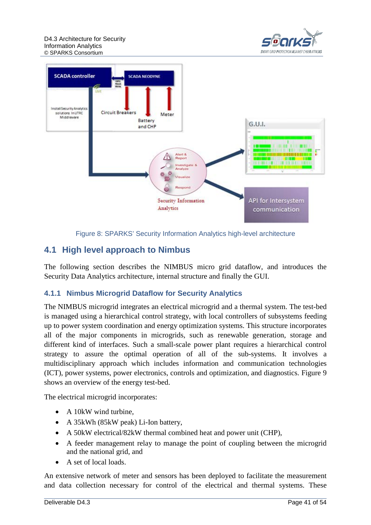



Figure 8: SPARKS' Security Information Analytics high-level architecture

#### <span id="page-40-2"></span><span id="page-40-0"></span>**4.1 High level approach to Nimbus**

The following section describes the NIMBUS micro grid dataflow, and introduces the Security Data Analytics architecture, internal structure and finally the GUI.

#### <span id="page-40-1"></span>**4.1.1 Nimbus Microgrid Dataflow for Security Analytics**

The NIMBUS microgrid integrates an electrical microgrid and a thermal system. The test-bed is managed using a hierarchical control strategy, with local controllers of subsystems feeding up to power system coordination and energy optimization systems. This structure incorporates all of the major components in microgrids, such as renewable generation, storage and different kind of interfaces. Such a small-scale power plant requires a hierarchical control strategy to assure the optimal operation of all of the sub-systems. It involves a multidisciplinary approach which includes information and communication technologies (ICT), power systems, power electronics, controls and optimization, and diagnostics. [Figure 9](#page-41-0) shows an overview of the energy test-bed.

The electrical microgrid incorporates:

- A 10kW wind turbine,
- A 35kWh (85kW peak) Li-Ion battery,
- A 50kW electrical/82kW thermal combined heat and power unit (CHP),
- A feeder management relay to manage the point of coupling between the microgrid and the national grid, and
- A set of local loads.

An extensive network of meter and sensors has been deployed to facilitate the measurement and data collection necessary for control of the electrical and thermal systems. These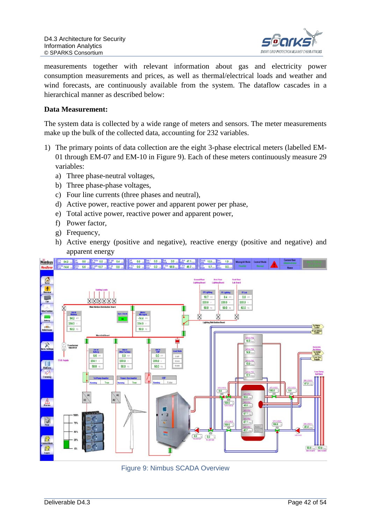

measurements together with relevant information about gas and electricity power consumption measurements and prices, as well as thermal/electrical loads and weather and wind forecasts, are continuously available from the system. The dataflow cascades in a hierarchical manner as described below:

#### **Data Measurement:**

The system data is collected by a wide range of meters and sensors. The meter measurements make up the bulk of the collected data, accounting for 232 variables.

- 1) The primary points of data collection are the eight 3-phase electrical meters (labelled EM-01 through EM-07 and EM-10 in [Figure 9\)](#page-41-0). Each of these meters continuously measure 29 variables:
	- a) Three phase-neutral voltages,
	- b) Three phase-phase voltages,
	- c) Four line currents (three phases and neutral),
	- d) Active power, reactive power and apparent power per phase,
	- e) Total active power, reactive power and apparent power,
	- f) Power factor,
	- g) Frequency,
	- h) Active energy (positive and negative), reactive energy (positive and negative) and apparent energy



<span id="page-41-0"></span>Figure 9: Nimbus SCADA Overview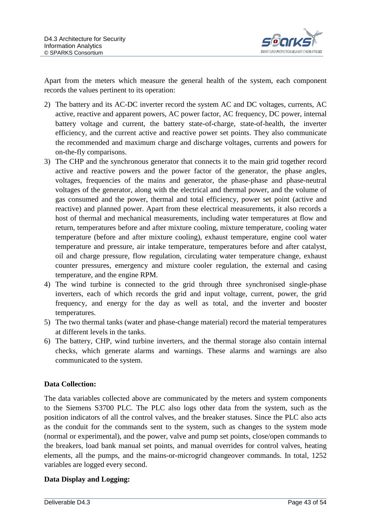

Apart from the meters which measure the general health of the system, each component records the values pertinent to its operation:

- 2) The battery and its AC-DC inverter record the system AC and DC voltages, currents, AC active, reactive and apparent powers, AC power factor, AC frequency, DC power, internal battery voltage and current, the battery state-of-charge, state-of-health, the inverter efficiency, and the current active and reactive power set points. They also communicate the recommended and maximum charge and discharge voltages, currents and powers for on-the-fly comparisons.
- 3) The CHP and the synchronous generator that connects it to the main grid together record active and reactive powers and the power factor of the generator, the phase angles, voltages, frequencies of the mains and generator, the phase-phase and phase-neutral voltages of the generator, along with the electrical and thermal power, and the volume of gas consumed and the power, thermal and total efficiency, power set point (active and reactive) and planned power. Apart from these electrical measurements, it also records a host of thermal and mechanical measurements, including water temperatures at flow and return, temperatures before and after mixture cooling, mixture temperature, cooling water temperature (before and after mixture cooling), exhaust temperature, engine cool water temperature and pressure, air intake temperature, temperatures before and after catalyst, oil and charge pressure, flow regulation, circulating water temperature change, exhaust counter pressures, emergency and mixture cooler regulation, the external and casing temperature, and the engine RPM.
- 4) The wind turbine is connected to the grid through three synchronised single-phase inverters, each of which records the grid and input voltage, current, power, the grid frequency, and energy for the day as well as total, and the inverter and booster temperatures.
- 5) The two thermal tanks (water and phase-change material) record the material temperatures at different levels in the tanks.
- 6) The battery, CHP, wind turbine inverters, and the thermal storage also contain internal checks, which generate alarms and warnings. These alarms and warnings are also communicated to the system.

#### **Data Collection:**

The data variables collected above are communicated by the meters and system components to the Siemens S3700 PLC. The PLC also logs other data from the system, such as the position indicators of all the control valves, and the breaker statuses. Since the PLC also acts as the conduit for the commands sent to the system, such as changes to the system mode (normal or experimental), and the power, valve and pump set points, close/open commands to the breakers, load bank manual set points, and manual overrides for control valves, heating elements, all the pumps, and the mains-or-microgrid changeover commands. In total, 1252 variables are logged every second.

#### **Data Display and Logging:**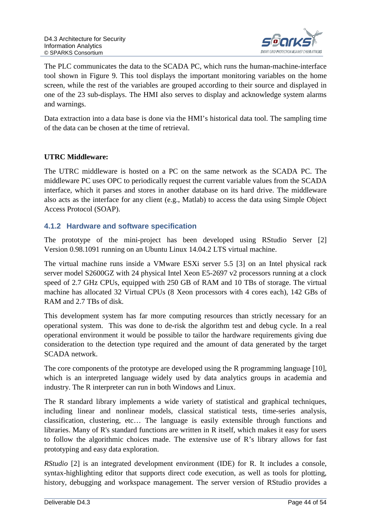

The PLC communicates the data to the SCADA PC, which runs the human-machine-interface tool shown in [Figure 9.](#page-41-0) This tool displays the important monitoring variables on the home screen, while the rest of the variables are grouped according to their source and displayed in one of the 23 sub-displays. The HMI also serves to display and acknowledge system alarms and warnings.

Data extraction into a data base is done via the HMI's historical data tool. The sampling time of the data can be chosen at the time of retrieval.

#### **UTRC Middleware:**

The UTRC middleware is hosted on a PC on the same network as the SCADA PC. The middleware PC uses OPC to periodically request the current variable values from the SCADA interface, which it parses and stores in another database on its hard drive. The middleware also acts as the interface for any client (e.g., Matlab) to access the data using Simple Object Access Protocol (SOAP).

#### <span id="page-43-0"></span>**4.1.2 Hardware and software specification**

The prototype of the mini-project has been developed using RStudio Server [\[2\]](#page-51-2) Version 0.98.1091 running on an Ubuntu Linux 14.04.2 LTS virtual machine.

The virtual machine runs inside a VMware ESXi server 5.5 [\[3\]](#page-51-3) on an Intel physical rack server model S2600GZ with 24 physical Intel Xeon E5-2697 v2 processors running at a clock speed of 2.7 GHz CPUs, equipped with 250 GB of RAM and 10 TBs of storage. The virtual machine has allocated 32 Virtual CPUs (8 Xeon processors with 4 cores each), 142 GBs of RAM and 2.7 TBs of disk.

This development system has far more computing resources than strictly necessary for an operational system. This was done to de-risk the algorithm test and debug cycle. In a real operational environment it would be possible to tailor the hardware requirements giving due consideration to the detection type required and the amount of data generated by the target SCADA network.

The core components of the prototype are developed using the R programming language [\[10\]](#page-51-4), which is an interpreted language widely used by data analytics groups in academia and industry. The R interpreter can run in both Windows and Linux.

The R standard library implements a wide variety of statistical and [graphical](http://en.wikipedia.org/wiki/Graphical) techniques, including [linear](http://en.wikipedia.org/wiki/Linear) and [nonlinear](http://en.wikipedia.org/wiki/Nonlinear) models, classical statistical tests, [time-series analysis,](http://en.wikipedia.org/wiki/Time-series_analysis) classification, clustering, etc… The language is easily extensible through functions and libraries. Many of R's standard functions are written in R itself, which makes it easy for users to follow the algorithmic choices made. The extensive use of R's library allows for fast prototyping and easy data exploration.

*RStudio* [\[2\]](#page-51-2) is an integrated development environment (IDE) for R. It includes a console, syntax-highlighting editor that supports direct code execution, as well as tools for plotting, history, debugging and workspace management. The server version of RStudio provides a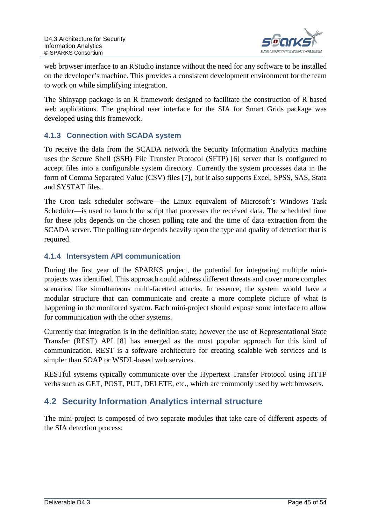

web browser interface to an RStudio instance without the need for any software to be installed on the developer's machine. This provides a consistent development environment for the team to work on while simplifying integration.

The Shinyapp package is an R framework designed to facilitate the construction of R based web applications. The graphical user interface for the SIA for Smart Grids package was developed using this framework.

#### <span id="page-44-0"></span>**4.1.3 Connection with SCADA system**

To receive the data from the SCADA network the Security Information Analytics machine uses the Secure Shell (SSH) File Transfer Protocol (SFTP) [\[6\]](#page-51-5) server that is configured to accept files into a configurable system directory. Currently the system processes data in the form of Comma Separated Value (CSV) files [\[7\]](#page-51-6), but it also supports Excel, SPSS, SAS, Stata and SYSTAT files.

The Cron task scheduler software—the Linux equivalent of Microsoft's Windows Task Scheduler—is used to launch the script that processes the received data. The scheduled time for these jobs depends on the chosen polling rate and the time of data extraction from the SCADA server. The polling rate depends heavily upon the type and quality of detection that is required.

#### <span id="page-44-1"></span>**4.1.4 Intersystem API communication**

During the first year of the SPARKS project, the potential for integrating multiple miniprojects was identified. This approach could address different threats and cover more complex scenarios like simultaneous multi-facetted attacks. In essence, the system would have a modular structure that can communicate and create a more complete picture of what is happening in the monitored system. Each mini-project should expose some interface to allow for communication with the other systems.

Currently that integration is in the definition state; however the use of Representational State Transfer (REST) API [\[8\]](#page-51-7) has emerged as the most popular approach for this kind of communication. REST is a software architecture for creating scalable web services and is simpler than SOAP or WSDL-based web services.

RESTful systems typically communicate over the Hypertext Transfer Protocol using HTTP verbs such as GET, POST, PUT, DELETE, etc., which are commonly used by web browsers.

#### <span id="page-44-2"></span>**4.2 Security Information Analytics internal structure**

The mini-project is composed of two separate modules that take care of different aspects of the SIA detection process: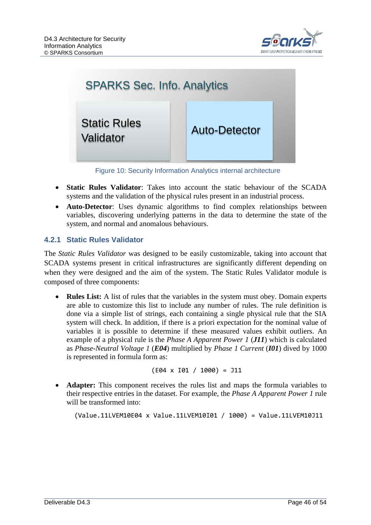



Figure 10: Security Information Analytics internal architecture

- **Static Rules Validator**: Takes into account the static behaviour of the SCADA systems and the validation of the physical rules present in an industrial process.
- **Auto-Detector**: Uses dynamic algorithms to find complex relationships between variables, discovering underlying patterns in the data to determine the state of the system, and normal and anomalous behaviours.

#### <span id="page-45-0"></span>**4.2.1 Static Rules Validator**

The *Static Rules Validator* was designed to be easily customizable, taking into account that SCADA systems present in critical infrastructures are significantly different depending on when they were designed and the aim of the system. The Static Rules Validator module is composed of three components:

• **Rules List:** A list of rules that the variables in the system must obey. Domain experts are able to customize this list to include any number of rules. The rule definition is done via a simple list of strings, each containing a single physical rule that the SIA system will check. In addition, if there is a priori expectation for the nominal value of variables it is possible to determine if these measured values exhibit outliers. An example of a physical rule is the *Phase A Apparent Power 1* (*J11*) which is calculated as *Phase-Neutral Voltage 1* (*E04*) multiplied by *Phase 1 Current* (*I01*) dived by 1000 is represented in formula form as:

$$
(E04 \times 101 / 1000) = 311
$$

• **Adapter:** This component receives the rules list and maps the formula variables to their respective entries in the dataset. For example, the *Phase A Apparent Power 1* rule will be transformed into:

(Value.11LVEM10E04 x Value.11LVEM10I01 / 1000) = Value.11LVEM10J11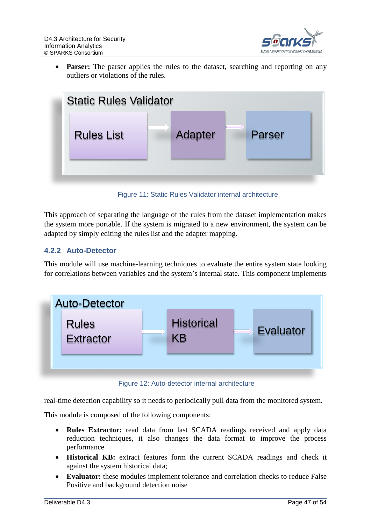

**Parser:** The parser applies the rules to the dataset, searching and reporting on any outliers or violations of the rules.



Figure 11: Static Rules Validator internal architecture

This approach of separating the language of the rules from the dataset implementation makes the system more portable. If the system is migrated to a new environment, the system can be adapted by simply editing the rules list and the adapter mapping.

#### <span id="page-46-0"></span>**4.2.2 Auto-Detector**

This module will use machine-learning techniques to evaluate the entire system state looking for correlations between variables and the system's internal state. This component implements



Figure 12: Auto-detector internal architecture

real-time detection capability so it needs to periodically pull data from the monitored system.

This module is composed of the following components:

- **Rules Extractor:** read data from last SCADA readings received and apply data reduction techniques, it also changes the data format to improve the process performance
- **Historical KB:** extract features form the current SCADA readings and check it against the system historical data;
- **Evaluator:** these modules implement tolerance and correlation checks to reduce False Positive and background detection noise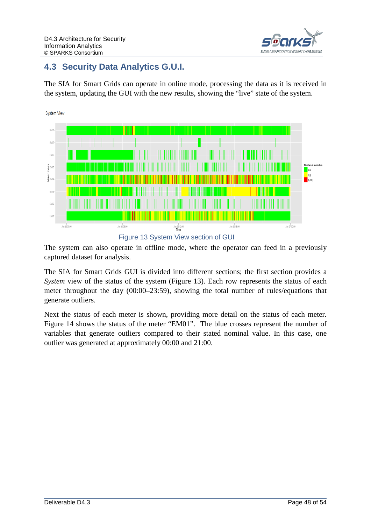

#### <span id="page-47-0"></span>**4.3 Security Data Analytics G.U.I.**

The SIA for Smart Grids can operate in online mode, processing the data as it is received in the system, updating the GUI with the new results, showing the "live" state of the system.



The system can also operate in offline mode, where the operator can feed in a previously captured dataset for analysis.

The SIA for Smart Grids GUI is divided into different sections; the first section provides a *System* view of the status of the system (Figure 13). Each row represents the status of each meter throughout the day (00:00–23:59), showing the total number of rules/equations that generate outliers.

Next the status of each meter is shown, providing more detail on the status of each meter. [Figure 14](#page-48-1) shows the status of the meter "EM01". The blue crosses represent the number of variables that generate outliers compared to their stated nominal value. In this case, one outlier was generated at approximately 00:00 and 21:00.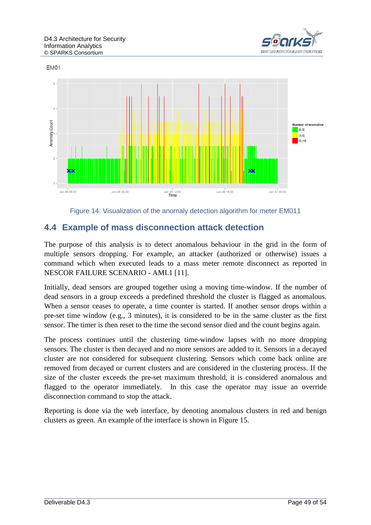



Figure 14: Visualization of the anomaly detection algorithm for meter EM011

#### <span id="page-48-1"></span><span id="page-48-0"></span>**4.4 Example of mass disconnection attack detection**

The purpose of this analysis is to detect anomalous behaviour in the grid in the form of multiple sensors dropping. For example, an attacker (authorized or otherwise) issues a command which when executed leads to a mass meter remote disconnect as reported in NESCOR FAILURE SCENARIO - AMI.1 [\[11\]](#page-51-8).

Initially, dead sensors are grouped together using a moving time-window. If the number of dead sensors in a group exceeds a predefined threshold the cluster is flagged as anomalous. When a sensor ceases to operate, a time counter is started. If another sensor drops within a pre-set time window (e.g., 3 minutes), it is considered to be in the same cluster as the first sensor. The timer is then reset to the time the second sensor died and the count begins again.

The process continues until the clustering time-window lapses with no more dropping sensors. The cluster is then decayed and no more sensors are added to it. Sensors in a decayed cluster are not considered for subsequent clustering. Sensors which come back online are removed from decayed or current clusters and are considered in the clustering process. If the size of the cluster exceeds the pre-set maximum threshold, it is considered anomalous and flagged to the operator immediately. In this case the operator may issue an override disconnection command to stop the attack.

Reporting is done via the web interface, by denoting anomalous clusters in red and benign clusters as green. An example of the interface is shown in [Figure 15.](#page-49-0)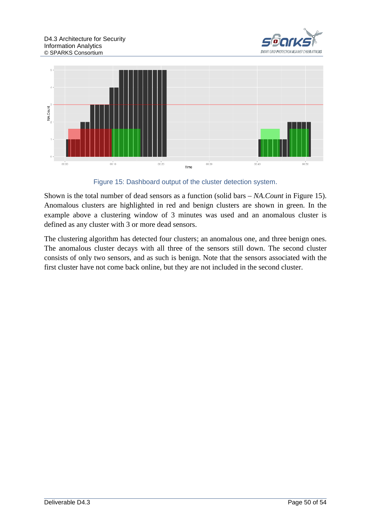



Figure 15: Dashboard output of the cluster detection system.

<span id="page-49-0"></span>Shown is the total number of dead sensors as a function (solid bars – *NA.Count* in [Figure 15\)](#page-49-0). Anomalous clusters are highlighted in red and benign clusters are shown in green. In the example above a clustering window of 3 minutes was used and an anomalous cluster is defined as any cluster with 3 or more dead sensors.

The clustering algorithm has detected four clusters; an anomalous one, and three benign ones. The anomalous cluster decays with all three of the sensors still down. The second cluster consists of only two sensors, and as such is benign. Note that the sensors associated with the first cluster have not come back online, but they are not included in the second cluster.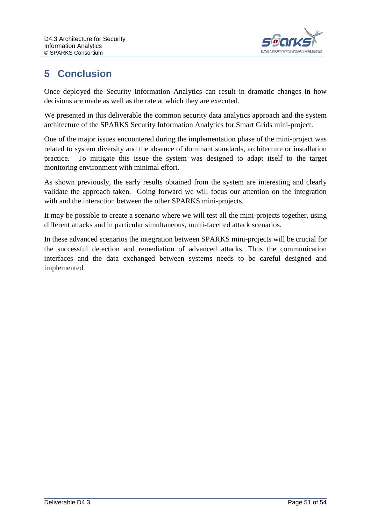

# <span id="page-50-0"></span>**5 Conclusion**

Once deployed the Security Information Analytics can result in dramatic changes in how decisions are made as well as the rate at which they are executed.

We presented in this deliverable the common security data analytics approach and the system architecture of the SPARKS Security Information Analytics for Smart Grids mini-project.

One of the major issues encountered during the implementation phase of the mini-project was related to system diversity and the absence of dominant standards, architecture or installation practice. To mitigate this issue the system was designed to adapt itself to the target monitoring environment with minimal effort.

As shown previously, the early results obtained from the system are interesting and clearly validate the approach taken. Going forward we will focus our attention on the integration with and the interaction between the other SPARKS mini-projects.

It may be possible to create a scenario where we will test all the mini-projects together, using different attacks and in particular simultaneous, multi-facetted attack scenarios.

In these advanced scenarios the integration between SPARKS mini-projects will be crucial for the successful detection and remediation of advanced attacks. Thus the communication interfaces and the data exchanged between systems needs to be careful designed and implemented.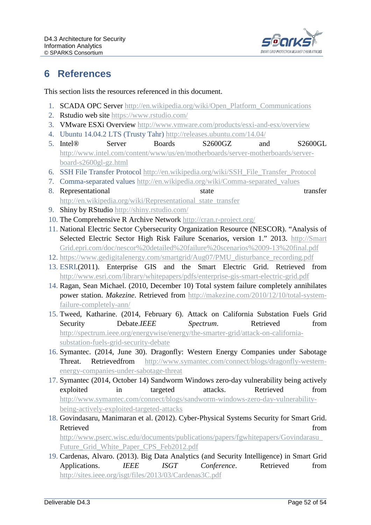

# <span id="page-51-0"></span>**6 References**

This section lists the resources referenced in this document.

- <span id="page-51-1"></span>1. SCADA OPC Server [http://en.wikipedia.org/wiki/Open\\_Platform\\_Communications](http://en.wikipedia.org/wiki/Open_Platform_Communications)
- <span id="page-51-2"></span>2. Rstudio web site<https://www.rstudio.com/>
- <span id="page-51-3"></span>3. VMware ESXi Overview<http://www.vmware.com/products/esxi-and-esx/overview>
- 4. Ubuntu 14.04.2 LTS (Trusty Tahr) <http://releases.ubuntu.com/14.04/>
- 5. Intel® Server Boards S2600GZ and S2600GL [http://www.intel.com/content/www/us/en/motherboards/server-motherboards/server](http://www.intel.com/content/www/us/en/motherboards/server-motherboards/server-board-s2600gl-gz.html)[board-s2600gl-gz.html](http://www.intel.com/content/www/us/en/motherboards/server-motherboards/server-board-s2600gl-gz.html)
- <span id="page-51-5"></span>6. SSH File Transfer Protocol [http://en.wikipedia.org/wiki/SSH\\_File\\_Transfer\\_Protocol](http://en.wikipedia.org/wiki/SSH_File_Transfer_Protocol)
- <span id="page-51-6"></span>7. Comma-separated values [http://en.wikipedia.org/wiki/Comma-separated\\_values](http://en.wikipedia.org/wiki/Comma-separated_values)
- <span id="page-51-7"></span>8. Representational state transfer [http://en.wikipedia.org/wiki/Representational\\_state\\_transfer](http://en.wikipedia.org/wiki/Representational_state_transfer)
- 9. Shiny by RStudio <http://shiny.rstudio.com/>
- <span id="page-51-4"></span>10. The Comprehensive R Archive Network <http://cran.r-project.org/>
- <span id="page-51-8"></span>11. National Electric Sector Cybersecurity Organization Resource (NESCOR). "Analysis of Selected Electric Sector High Risk Failure Scenarios, version 1." 2013. [http://Smart](http://smartgrid.epri.com/doc/nescor%20detailed%20failure%20scenarios%2009-13%20final.pdf)  [Grid.epri.com/doc/nescor%20detailed%20failure%20scenarios%2009-13%20final.pdf](http://smartgrid.epri.com/doc/nescor%20detailed%20failure%20scenarios%2009-13%20final.pdf)
- 12. [https://www.gedigitalenergy.com/smartgrid/Aug07/PMU\\_disturbance\\_recording.pdf](https://www.gedigitalenergy.com/smartgrid/Aug07/PMU_disturbance_recording.pdf)
- 13. ESRI.(2011). Enterprise GIS and the Smart Electric Grid. Retrieved from http://www.esri.com/library/whitepapers/pdfs/enterprise-gis-smart-electric-grid.pdf
- 14. Ragan, Sean Michael. (2010, December 10) Total system failure completely annihilates power station. *Makezine*. Retrieved from [http://makezine.com/2010/12/10/total-system](http://makezine.com/2010/12/10/total-system-failure-completely-ann/)[failure-completely-ann/](http://makezine.com/2010/12/10/total-system-failure-completely-ann/)
- 15. Tweed, Katharine. (2014, February 6). Attack on California Substation Fuels Grid Security Debate.*IEEE* Spectrum. Retrieved from [http://spectrum.ieee.org/energywise/energy/the-smarter-grid/attack-on-california](http://spectrum.ieee.org/energywise/energy/the-smarter-grid/attack-on-california-substation-fuels-grid-security-debate)[substation-fuels-grid-security-debate](http://spectrum.ieee.org/energywise/energy/the-smarter-grid/attack-on-california-substation-fuels-grid-security-debate)
- 16. Symantec. (2014, June 30). Dragonfly: Western Energy Companies under Sabotage Threat. Retrievedfrom [http://www.symantec.com/connect/blogs/dragonfly-western](http://www.symantec.com/connect/blogs/dragonfly-western-energy-companies-under-sabotage-threat)[energy-companies-under-sabotage-threat](http://www.symantec.com/connect/blogs/dragonfly-western-energy-companies-under-sabotage-threat)
- 17. Symantec (2014, October 14) Sandworm Windows zero-day vulnerability being actively exploited in targeted attacks. Retrieved from [http://www.symantec.com/connect/blogs/sandworm-windows-zero-day-vulnerability](http://www.symantec.com/connect/blogs/sandworm-windows-zero-day-vulnerability-being-actively-exploited-targeted-attacks)[being-actively-exploited-targeted-attacks](http://www.symantec.com/connect/blogs/sandworm-windows-zero-day-vulnerability-being-actively-exploited-targeted-attacks)
- 18. Govindasaru, Manimaran et al. (2012). Cyber-Physical Systems Security for Smart Grid. Retrieved from the set of the set of the set of the set of the set of the set of the set of the set of the set of the set of the set of the set of the set of the set of the set of the set of the set of the set of the set o [http://www.pserc.wisc.edu/documents/publications/papers/fgwhitepapers/Govindarasu\\_](http://www.pserc.wisc.edu/documents/publications/papers/fgwhitepapers/Govindarasu_Future_Grid_White_Paper_CPS_Feb2012.pdf) Future Grid\_White\_Paper\_CPS\_Feb2012.pdf
- 19. Cardenas, Alvaro. (2013). Big Data Analytics (and Security Intelligence) in Smart Grid Applications. *IEEE ISGT Conference*. Retrieved from <http://sites.ieee.org/isgt/files/2013/03/Cardenas3C.pdf>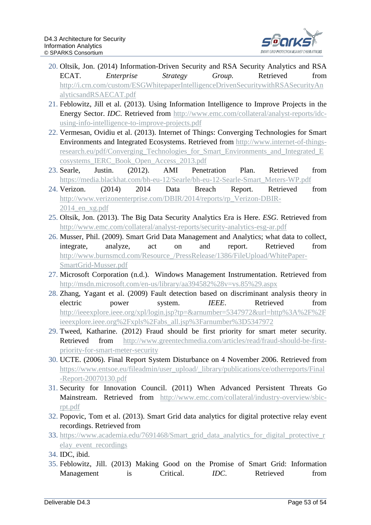

- 20. Oltsik, Jon. (2014) Information-Driven Security and RSA Security Analytics and RSA ECAT. *Enterprise Strategy Group.* Retrieved from [http://i.crn.com/custom/ESGWhitepaperIntelligenceDrivenSecuritywithRSASecurityAn](http://i.crn.com/custom/ESGWhitepaperIntelligenceDrivenSecuritywithRSASecurityAnalyticsandRSAECAT.pdf) [alyticsandRSAECAT.pdf](http://i.crn.com/custom/ESGWhitepaperIntelligenceDrivenSecuritywithRSASecurityAnalyticsandRSAECAT.pdf)
- 21. Feblowitz, Jill et al. (2013). Using Information Intelligence to Improve Projects in the Energy Sector. *IDC*. Retrieved from [http://www.emc.com/collateral/analyst-reports/idc](http://www.emc.com/collateral/analyst-reports/idc-using-info-intelligence-to-improve-projects.pdf)[using-info-intelligence-to-improve-projects.pdf](http://www.emc.com/collateral/analyst-reports/idc-using-info-intelligence-to-improve-projects.pdf)
- 22. Vermesan, Ovidiu et al. (2013). Internet of Things: Converging Technologies for Smart Environments and Integrated Ecosystems. Retrieved from [http://www.internet-of-things](http://www.internet-of-things-research.eu/pdf/Converging_Technologies_for_Smart_Environments_and_Integrated_Ecosystems_IERC_Book_Open_Access_2013.pdf)[research.eu/pdf/Converging\\_Technologies\\_for\\_Smart\\_Environments\\_and\\_Integrated\\_E](http://www.internet-of-things-research.eu/pdf/Converging_Technologies_for_Smart_Environments_and_Integrated_Ecosystems_IERC_Book_Open_Access_2013.pdf) [cosystems\\_IERC\\_Book\\_Open\\_Access\\_2013.pdf](http://www.internet-of-things-research.eu/pdf/Converging_Technologies_for_Smart_Environments_and_Integrated_Ecosystems_IERC_Book_Open_Access_2013.pdf)
- 23. Searle, Justin. (2012). AMI Penetration Plan. Retrieved from [https://media.blackhat.com/bh-eu-12/Searle/bh-eu-12-Searle-Smart\\_Meters-WP.pdf](https://media.blackhat.com/bh-eu-12/Searle/bh-eu-12-Searle-Smart_Meters-WP.pdf)
- 24. Verizon. (2014) 2014 Data Breach Report. Retrieved from [http://www.verizonenterprise.com/DBIR/2014/reports/rp\\_Verizon-DBIR-](http://www.verizonenterprise.com/DBIR/2014/reports/rp_Verizon-DBIR-2014_en_xg.pdf)[2014\\_en\\_xg.pdf](http://www.verizonenterprise.com/DBIR/2014/reports/rp_Verizon-DBIR-2014_en_xg.pdf)
- 25. Oltsik, Jon. (2013). The Big Data Security Analytics Era is Here. *ESG*. Retrieved from <http://www.emc.com/collateral/analyst-reports/security-analytics-esg-ar.pdf>
- 26. Musser, Phil. (2009). Smart Grid Data Management and Analytics; what data to collect, integrate, analyze, act on and report. Retrieved from [http://www.burnsmcd.com/Resource\\_/PressRelease/1386/FileUpload/WhitePaper-](http://www.burnsmcd.com/Resource_/PressRelease/1386/FileUpload/WhitePaper-SmartGrid-Musser.pdf)[SmartGrid-Musser.pdf](http://www.burnsmcd.com/Resource_/PressRelease/1386/FileUpload/WhitePaper-SmartGrid-Musser.pdf)
- 27. Microsoft Corporation (n.d.). Windows Management Instrumentation. Retrieved from <http://msdn.microsoft.com/en-us/library/aa394582%28v=vs.85%29.aspx>
- 28. Zhang, Yagant et al. (2009) Fault detection based on discriminant analysis theory in electric power system. *IEEE*. Retrieved from [http://ieeexplore.ieee.org/xpl/login.jsp?tp=&arnumber=5347972&url=http%3A%2F%2F](http://ieeexplore.ieee.org/xpl/login.jsp?tp=&arnumber=5347972&url=http%3A%2F%2Fieeexplore.ieee.org%2Fxpls%2Fabs_all.jsp%3Farnumber%3D5347972) [ieeexplore.ieee.org%2Fxpls%2Fabs\\_all.jsp%3Farnumber%3D5347972](http://ieeexplore.ieee.org/xpl/login.jsp?tp=&arnumber=5347972&url=http%3A%2F%2Fieeexplore.ieee.org%2Fxpls%2Fabs_all.jsp%3Farnumber%3D5347972)
- 29. Tweed, Katharine. (2012) Fraud should be first priority for smart meter security. Retrieved from [http://www.greentechmedia.com/articles/read/fraud-should-be-first](http://www.greentechmedia.com/articles/read/fraud-should-be-first-priority-for-smart-meter-security)[priority-for-smart-meter-security](http://www.greentechmedia.com/articles/read/fraud-should-be-first-priority-for-smart-meter-security)
- 30. UCTE. (2006). Final Report System Disturbance on 4 November 2006. Retrieved from [https://www.entsoe.eu/fileadmin/user\\_upload/\\_library/publications/ce/otherreports/Final](https://www.entsoe.eu/fileadmin/user_upload/_library/publications/ce/otherreports/Final-Report-20070130.pdf) [-Report-20070130.pdf](https://www.entsoe.eu/fileadmin/user_upload/_library/publications/ce/otherreports/Final-Report-20070130.pdf)
- 31. Security for Innovation Council. (2011) When Advanced Persistent Threats Go Mainstream. Retrieved from [http://www.emc.com/collateral/industry-overview/sbic](http://www.emc.com/collateral/industry-overview/sbic-rpt.pdf)[rpt.pdf](http://www.emc.com/collateral/industry-overview/sbic-rpt.pdf)
- 32. Popovic, Tom et al. (2013). Smart Grid data analytics for digital protective relay event recordings. Retrieved from
- 33. [https://www.academia.edu/7691468/Smart\\_grid\\_data\\_analytics\\_for\\_digital\\_protective\\_r](https://www.academia.edu/7691468/Smart_grid_data_analytics_for_digital_protective_relay_event_recordings) [elay\\_event\\_recordings](https://www.academia.edu/7691468/Smart_grid_data_analytics_for_digital_protective_relay_event_recordings)
- 34. IDC, ibid.
- 35. Feblowitz, Jill. (2013) Making Good on the Promise of Smart Grid: Information Management is Critical. *IDC*. Retrieved from